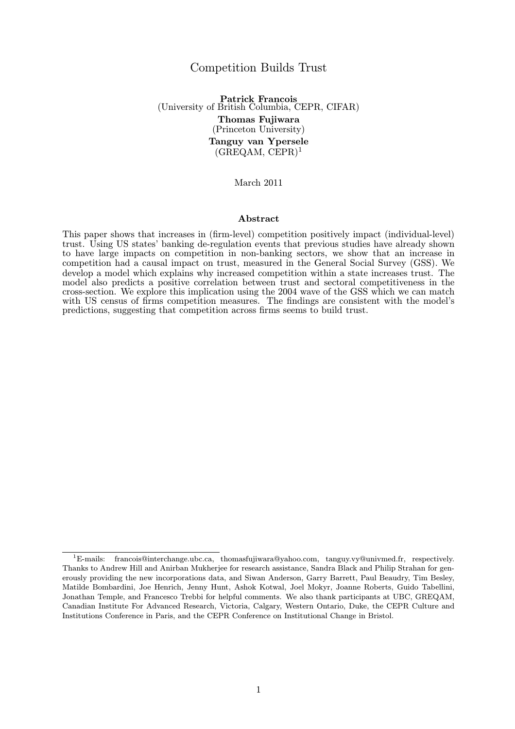## Competition Builds Trust

Patrick Francois (University of British Columbia, CEPR, CIFAR) Thomas Fujiwara (Princeton University) Tanguy van Ypersele  $(GREQAM, CEPR)^1$ 

March 2011

#### Abstract

This paper shows that increases in (firm-level) competition positively impact (individual-level) trust. Using US states' banking de-regulation events that previous studies have already shown to have large impacts on competition in non-banking sectors, we show that an increase in competition had a causal impact on trust, measured in the General Social Survey (GSS). We develop a model which explains why increased competition within a state increases trust. The model also predicts a positive correlation between trust and sectoral competitiveness in the cross-section. We explore this implication using the 2004 wave of the GSS which we can match with US census of firms competition measures. The findings are consistent with the model's predictions, suggesting that competition across firms seems to build trust.

<sup>&</sup>lt;sup>1</sup>E-mails: francois@interchange.ubc.ca, thomasfujiwara@yahoo.com, tanguy.vy@univmed.fr, respectively. Thanks to Andrew Hill and Anirban Mukherjee for research assistance, Sandra Black and Philip Strahan for generously providing the new incorporations data, and Siwan Anderson, Garry Barrett, Paul Beaudry, Tim Besley, Matilde Bombardini, Joe Henrich, Jenny Hunt, Ashok Kotwal, Joel Mokyr, Joanne Roberts, Guido Tabellini, Jonathan Temple, and Francesco Trebbi for helpful comments. We also thank participants at UBC, GREQAM, Canadian Institute For Advanced Research, Victoria, Calgary, Western Ontario, Duke, the CEPR Culture and Institutions Conference in Paris, and the CEPR Conference on Institutional Change in Bristol.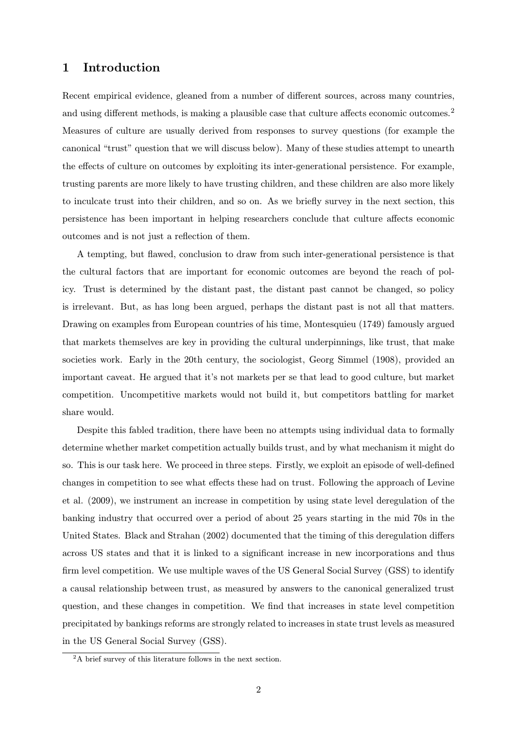# 1 Introduction

Recent empirical evidence, gleaned from a number of different sources, across many countries, and using different methods, is making a plausible case that culture affects economic outcomes.<sup>2</sup> Measures of culture are usually derived from responses to survey questions (for example the canonical "trust" question that we will discuss below). Many of these studies attempt to unearth the effects of culture on outcomes by exploiting its inter-generational persistence. For example, trusting parents are more likely to have trusting children, and these children are also more likely to inculcate trust into their children, and so on. As we briefly survey in the next section, this persistence has been important in helping researchers conclude that culture affects economic outcomes and is not just a reflection of them.

A tempting, but flawed, conclusion to draw from such inter-generational persistence is that the cultural factors that are important for economic outcomes are beyond the reach of policy. Trust is determined by the distant past, the distant past cannot be changed, so policy is irrelevant. But, as has long been argued, perhaps the distant past is not all that matters. Drawing on examples from European countries of his time, Montesquieu (1749) famously argued that markets themselves are key in providing the cultural underpinnings, like trust, that make societies work. Early in the 20th century, the sociologist, Georg Simmel (1908), provided an important caveat. He argued that it's not markets per se that lead to good culture, but market competition. Uncompetitive markets would not build it, but competitors battling for market share would.

Despite this fabled tradition, there have been no attempts using individual data to formally determine whether market competition actually builds trust, and by what mechanism it might do so. This is our task here. We proceed in three steps. Firstly, we exploit an episode of well-defined changes in competition to see what effects these had on trust. Following the approach of Levine et al. (2009), we instrument an increase in competition by using state level deregulation of the banking industry that occurred over a period of about 25 years starting in the mid 70s in the United States. Black and Strahan (2002) documented that the timing of this deregulation differs across US states and that it is linked to a significant increase in new incorporations and thus firm level competition. We use multiple waves of the US General Social Survey (GSS) to identify a causal relationship between trust, as measured by answers to the canonical generalized trust question, and these changes in competition. We find that increases in state level competition precipitated by bankings reforms are strongly related to increases in state trust levels as measured in the US General Social Survey (GSS).

<sup>&</sup>lt;sup>2</sup>A brief survey of this literature follows in the next section.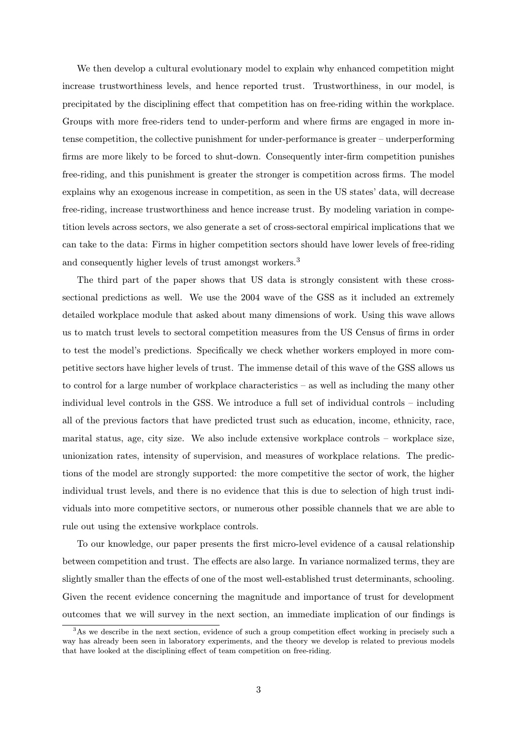We then develop a cultural evolutionary model to explain why enhanced competition might increase trustworthiness levels, and hence reported trust. Trustworthiness, in our model, is precipitated by the disciplining effect that competition has on free-riding within the workplace. Groups with more free-riders tend to under-perform and where firms are engaged in more intense competition, the collective punishment for under-performance is greater – underperforming firms are more likely to be forced to shut-down. Consequently inter-firm competition punishes free-riding, and this punishment is greater the stronger is competition across firms. The model explains why an exogenous increase in competition, as seen in the US states' data, will decrease free-riding, increase trustworthiness and hence increase trust. By modeling variation in competition levels across sectors, we also generate a set of cross-sectoral empirical implications that we can take to the data: Firms in higher competition sectors should have lower levels of free-riding and consequently higher levels of trust amongst workers.<sup>3</sup>

The third part of the paper shows that US data is strongly consistent with these crosssectional predictions as well. We use the 2004 wave of the GSS as it included an extremely detailed workplace module that asked about many dimensions of work. Using this wave allows us to match trust levels to sectoral competition measures from the US Census of firms in order to test the model's predictions. Specifically we check whether workers employed in more competitive sectors have higher levels of trust. The immense detail of this wave of the GSS allows us to control for a large number of workplace characteristics – as well as including the many other individual level controls in the GSS. We introduce a full set of individual controls – including all of the previous factors that have predicted trust such as education, income, ethnicity, race, marital status, age, city size. We also include extensive workplace controls – workplace size, unionization rates, intensity of supervision, and measures of workplace relations. The predictions of the model are strongly supported: the more competitive the sector of work, the higher individual trust levels, and there is no evidence that this is due to selection of high trust individuals into more competitive sectors, or numerous other possible channels that we are able to rule out using the extensive workplace controls.

To our knowledge, our paper presents the first micro-level evidence of a causal relationship between competition and trust. The effects are also large. In variance normalized terms, they are slightly smaller than the effects of one of the most well-established trust determinants, schooling. Given the recent evidence concerning the magnitude and importance of trust for development outcomes that we will survey in the next section, an immediate implication of our findings is

<sup>&</sup>lt;sup>3</sup>As we describe in the next section, evidence of such a group competition effect working in precisely such a way has already been seen in laboratory experiments, and the theory we develop is related to previous models that have looked at the disciplining effect of team competition on free-riding.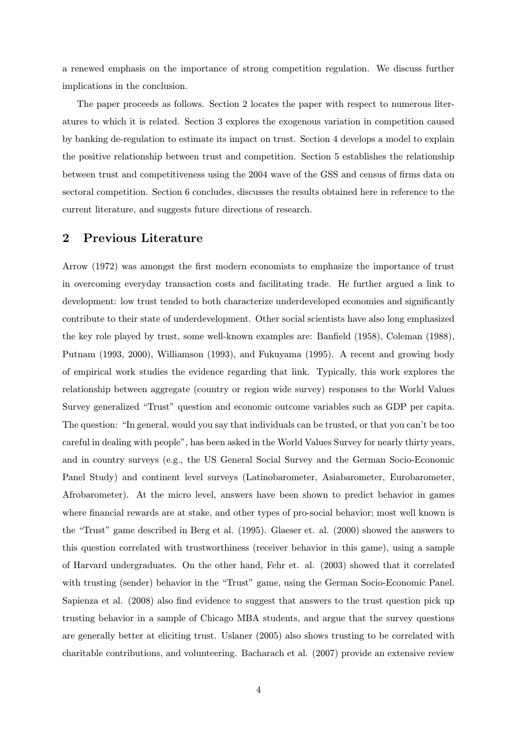a renewed emphasis on the importance of strong competition regulation. We discuss further implications in the conclusion.

The paper proceeds as follows. Section 2 locates the paper with respect to numerous literatures to which it is related. Section 3 explores the exogenous variation in competition caused by banking de-regulation to estimate its impact on trust. Section 4 develops a model to explain the positive relationship between trust and competition. Section 5 establishes the relationship between trust and competitiveness using the 2004 wave of the GSS and census of firms data on sectoral competition. Section 6 concludes, discusses the results obtained here in reference to the current literature, and suggests future directions of research.

# 2 Previous Literature

Arrow (1972) was amongst the first modern economists to emphasize the importance of trust in overcoming everyday transaction costs and facilitating trade. He further argued a link to development: low trust tended to both characterize underdeveloped economies and significantly contribute to their state of underdevelopment. Other social scientists have also long emphasized the key role played by trust, some well-known examples are: Banfield (1958), Coleman (1988), Putnam (1993, 2000), Williamson (1993), and Fukuyama (1995). A recent and growing body of empirical work studies the evidence regarding that link. Typically, this work explores the relationship between aggregate (country or region wide survey) responses to the World Values Survey generalized "Trust" question and economic outcome variables such as GDP per capita. The question: "In general, would you say that individuals can be trusted, or that you can't be too careful in dealing with people", has been asked in the World Values Survey for nearly thirty years, and in country surveys (e.g., the US General Social Survey and the German Socio-Economic Panel Study) and continent level surveys (Latinobarometer, Asiabarometer, Eurobarometer, Afrobarometer). At the micro level, answers have been shown to predict behavior in games where financial rewards are at stake, and other types of pro-social behavior; most well known is the "Trust" game described in Berg et al. (1995). Glaeser et. al. (2000) showed the answers to this question correlated with trustworthiness (receiver behavior in this game), using a sample of Harvard undergraduates. On the other hand, Fehr et. al. (2003) showed that it correlated with trusting (sender) behavior in the "Trust" game, using the German Socio-Economic Panel. Sapienza et al. (2008) also find evidence to suggest that answers to the trust question pick up trusting behavior in a sample of Chicago MBA students, and argue that the survey questions are generally better at eliciting trust. Uslaner (2005) also shows trusting to be correlated with charitable contributions, and volunteering. Bacharach et al. (2007) provide an extensive review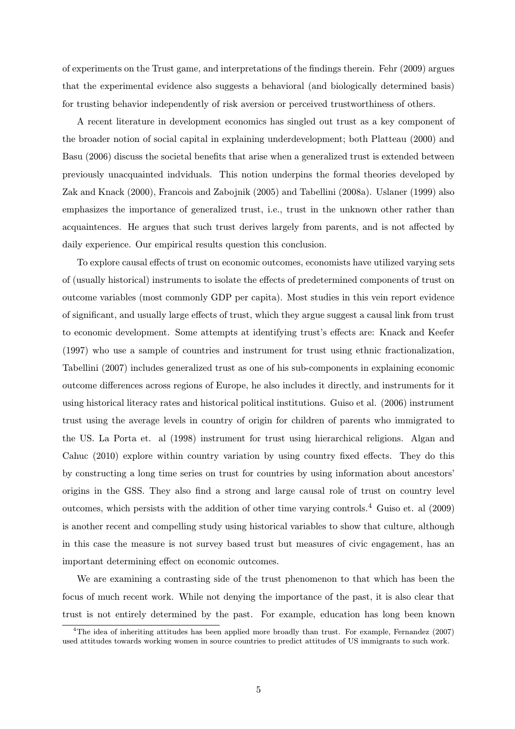of experiments on the Trust game, and interpretations of the findings therein. Fehr (2009) argues that the experimental evidence also suggests a behavioral (and biologically determined basis) for trusting behavior independently of risk aversion or perceived trustworthiness of others.

A recent literature in development economics has singled out trust as a key component of the broader notion of social capital in explaining underdevelopment; both Platteau (2000) and Basu (2006) discuss the societal benefits that arise when a generalized trust is extended between previously unacquainted indviduals. This notion underpins the formal theories developed by Zak and Knack (2000), Francois and Zabojnik (2005) and Tabellini (2008a). Uslaner (1999) also emphasizes the importance of generalized trust, i.e., trust in the unknown other rather than acquaintences. He argues that such trust derives largely from parents, and is not affected by daily experience. Our empirical results question this conclusion.

To explore causal effects of trust on economic outcomes, economists have utilized varying sets of (usually historical) instruments to isolate the effects of predetermined components of trust on outcome variables (most commonly GDP per capita). Most studies in this vein report evidence of significant, and usually large effects of trust, which they argue suggest a causal link from trust to economic development. Some attempts at identifying trust's effects are: Knack and Keefer (1997) who use a sample of countries and instrument for trust using ethnic fractionalization, Tabellini (2007) includes generalized trust as one of his sub-components in explaining economic outcome differences across regions of Europe, he also includes it directly, and instruments for it using historical literacy rates and historical political institutions. Guiso et al. (2006) instrument trust using the average levels in country of origin for children of parents who immigrated to the US. La Porta et. al (1998) instrument for trust using hierarchical religions. Algan and Cahuc (2010) explore within country variation by using country fixed effects. They do this by constructing a long time series on trust for countries by using information about ancestors' origins in the GSS. They also find a strong and large causal role of trust on country level outcomes, which persists with the addition of other time varying controls.<sup>4</sup> Guiso et. al (2009) is another recent and compelling study using historical variables to show that culture, although in this case the measure is not survey based trust but measures of civic engagement, has an important determining effect on economic outcomes.

We are examining a contrasting side of the trust phenomenon to that which has been the focus of much recent work. While not denying the importance of the past, it is also clear that trust is not entirely determined by the past. For example, education has long been known

<sup>4</sup>The idea of inheriting attitudes has been applied more broadly than trust. For example, Fernandez (2007) used attitudes towards working women in source countries to predict attitudes of US immigrants to such work.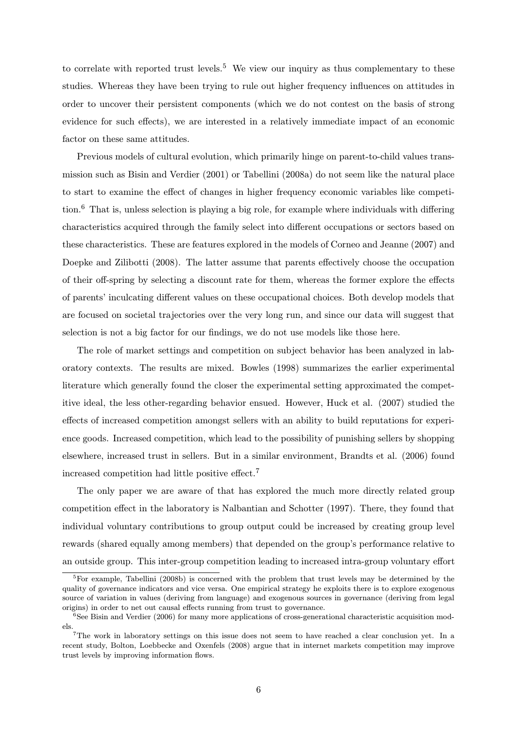to correlate with reported trust levels.<sup>5</sup> We view our inquiry as thus complementary to these studies. Whereas they have been trying to rule out higher frequency influences on attitudes in order to uncover their persistent components (which we do not contest on the basis of strong evidence for such effects), we are interested in a relatively immediate impact of an economic factor on these same attitudes.

Previous models of cultural evolution, which primarily hinge on parent-to-child values transmission such as Bisin and Verdier (2001) or Tabellini (2008a) do not seem like the natural place to start to examine the effect of changes in higher frequency economic variables like competition.<sup>6</sup> That is, unless selection is playing a big role, for example where individuals with differing characteristics acquired through the family select into different occupations or sectors based on these characteristics. These are features explored in the models of Corneo and Jeanne (2007) and Doepke and Zilibotti (2008). The latter assume that parents effectively choose the occupation of their off-spring by selecting a discount rate for them, whereas the former explore the effects of parents' inculcating different values on these occupational choices. Both develop models that are focused on societal trajectories over the very long run, and since our data will suggest that selection is not a big factor for our findings, we do not use models like those here.

The role of market settings and competition on subject behavior has been analyzed in laboratory contexts. The results are mixed. Bowles (1998) summarizes the earlier experimental literature which generally found the closer the experimental setting approximated the competitive ideal, the less other-regarding behavior ensued. However, Huck et al. (2007) studied the effects of increased competition amongst sellers with an ability to build reputations for experience goods. Increased competition, which lead to the possibility of punishing sellers by shopping elsewhere, increased trust in sellers. But in a similar environment, Brandts et al. (2006) found increased competition had little positive effect.<sup>7</sup>

The only paper we are aware of that has explored the much more directly related group competition effect in the laboratory is Nalbantian and Schotter (1997). There, they found that individual voluntary contributions to group output could be increased by creating group level rewards (shared equally among members) that depended on the group's performance relative to an outside group. This inter-group competition leading to increased intra-group voluntary effort

<sup>&</sup>lt;sup>5</sup>For example, Tabellini (2008b) is concerned with the problem that trust levels may be determined by the quality of governance indicators and vice versa. One empirical strategy he exploits there is to explore exogenous source of variation in values (deriving from language) and exogenous sources in governance (deriving from legal origins) in order to net out causal effects running from trust to governance.

 $^{6}$ See Bisin and Verdier (2006) for many more applications of cross-generational characteristic acquisition models.

<sup>7</sup>The work in laboratory settings on this issue does not seem to have reached a clear conclusion yet. In a recent study, Bolton, Loebbecke and Oxenfels (2008) argue that in internet markets competition may improve trust levels by improving information flows.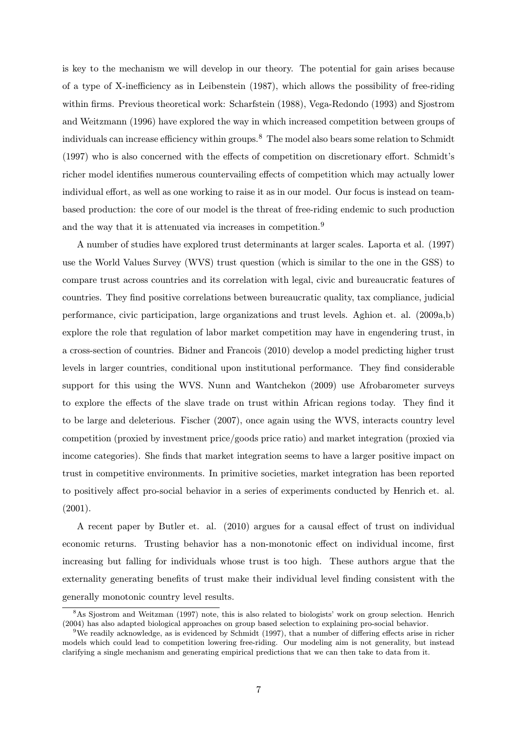is key to the mechanism we will develop in our theory. The potential for gain arises because of a type of X-inefficiency as in Leibenstein (1987), which allows the possibility of free-riding within firms. Previous theoretical work: Scharfstein (1988), Vega-Redondo (1993) and Sjostrom and Weitzmann (1996) have explored the way in which increased competition between groups of individuals can increase efficiency within groups.<sup>8</sup> The model also bears some relation to Schmidt (1997) who is also concerned with the effects of competition on discretionary effort. Schmidt's richer model identifies numerous countervailing effects of competition which may actually lower individual effort, as well as one working to raise it as in our model. Our focus is instead on teambased production: the core of our model is the threat of free-riding endemic to such production and the way that it is attenuated via increases in competition.<sup>9</sup>

A number of studies have explored trust determinants at larger scales. Laporta et al. (1997) use the World Values Survey (WVS) trust question (which is similar to the one in the GSS) to compare trust across countries and its correlation with legal, civic and bureaucratic features of countries. They find positive correlations between bureaucratic quality, tax compliance, judicial performance, civic participation, large organizations and trust levels. Aghion et. al. (2009a,b) explore the role that regulation of labor market competition may have in engendering trust, in a cross-section of countries. Bidner and Francois (2010) develop a model predicting higher trust levels in larger countries, conditional upon institutional performance. They find considerable support for this using the WVS. Nunn and Wantchekon (2009) use Afrobarometer surveys to explore the effects of the slave trade on trust within African regions today. They find it to be large and deleterious. Fischer (2007), once again using the WVS, interacts country level competition (proxied by investment price/goods price ratio) and market integration (proxied via income categories). She finds that market integration seems to have a larger positive impact on trust in competitive environments. In primitive societies, market integration has been reported to positively affect pro-social behavior in a series of experiments conducted by Henrich et. al.  $(2001).$ 

A recent paper by Butler et. al. (2010) argues for a causal effect of trust on individual economic returns. Trusting behavior has a non-monotonic effect on individual income, first increasing but falling for individuals whose trust is too high. These authors argue that the externality generating benefits of trust make their individual level finding consistent with the generally monotonic country level results.

<sup>8</sup>As Sjostrom and Weitzman (1997) note, this is also related to biologists' work on group selection. Henrich (2004) has also adapted biological approaches on group based selection to explaining pro-social behavior.

<sup>&</sup>lt;sup>9</sup>We readily acknowledge, as is evidenced by Schmidt (1997), that a number of differing effects arise in richer models which could lead to competition lowering free-riding. Our modeling aim is not generality, but instead clarifying a single mechanism and generating empirical predictions that we can then take to data from it.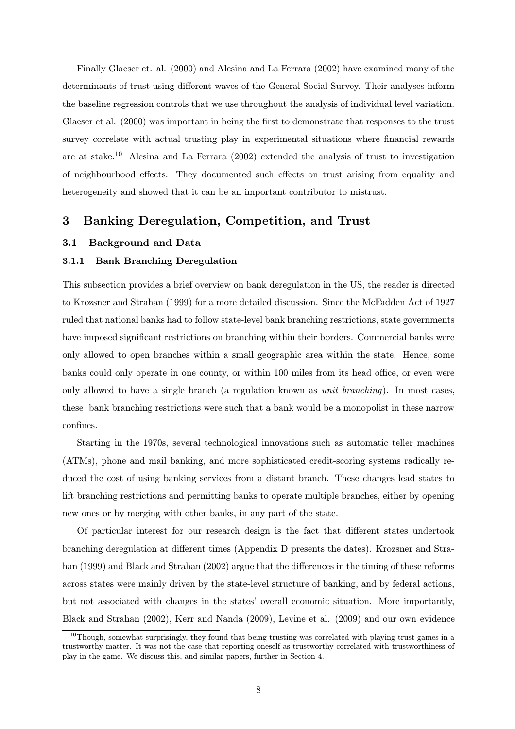Finally Glaeser et. al. (2000) and Alesina and La Ferrara (2002) have examined many of the determinants of trust using different waves of the General Social Survey. Their analyses inform the baseline regression controls that we use throughout the analysis of individual level variation. Glaeser et al. (2000) was important in being the first to demonstrate that responses to the trust survey correlate with actual trusting play in experimental situations where financial rewards are at stake.<sup>10</sup> Alesina and La Ferrara  $(2002)$  extended the analysis of trust to investigation of neighbourhood effects. They documented such effects on trust arising from equality and heterogeneity and showed that it can be an important contributor to mistrust.

# 3 Banking Deregulation, Competition, and Trust

## 3.1 Background and Data

## 3.1.1 Bank Branching Deregulation

This subsection provides a brief overview on bank deregulation in the US, the reader is directed to Krozsner and Strahan (1999) for a more detailed discussion. Since the McFadden Act of 1927 ruled that national banks had to follow state-level bank branching restrictions, state governments have imposed significant restrictions on branching within their borders. Commercial banks were only allowed to open branches within a small geographic area within the state. Hence, some banks could only operate in one county, or within 100 miles from its head office, or even were only allowed to have a single branch (a regulation known as unit branching). In most cases, these bank branching restrictions were such that a bank would be a monopolist in these narrow confines.

Starting in the 1970s, several technological innovations such as automatic teller machines (ATMs), phone and mail banking, and more sophisticated credit-scoring systems radically reduced the cost of using banking services from a distant branch. These changes lead states to lift branching restrictions and permitting banks to operate multiple branches, either by opening new ones or by merging with other banks, in any part of the state.

Of particular interest for our research design is the fact that different states undertook branching deregulation at different times (Appendix D presents the dates). Krozsner and Strahan (1999) and Black and Strahan (2002) argue that the differences in the timing of these reforms across states were mainly driven by the state-level structure of banking, and by federal actions, but not associated with changes in the states' overall economic situation. More importantly, Black and Strahan (2002), Kerr and Nanda (2009), Levine et al. (2009) and our own evidence

 $10$ Though, somewhat surprisingly, they found that being trusting was correlated with playing trust games in a trustworthy matter. It was not the case that reporting oneself as trustworthy correlated with trustworthiness of play in the game. We discuss this, and similar papers, further in Section 4.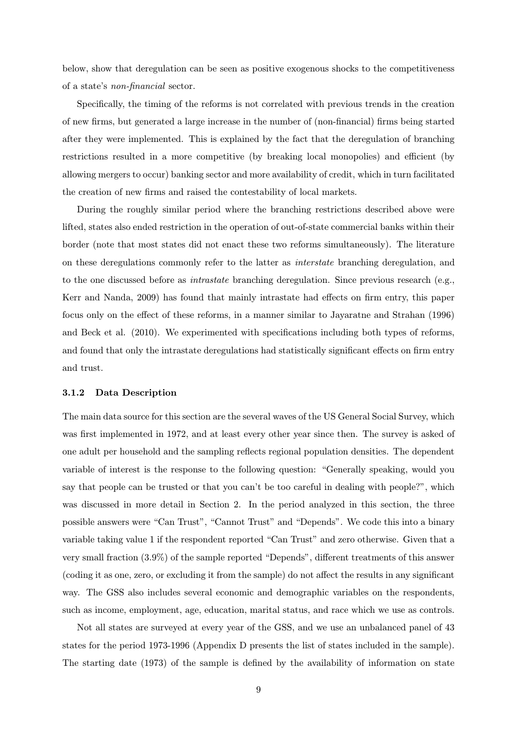below, show that deregulation can be seen as positive exogenous shocks to the competitiveness of a state's non-financial sector.

Specifically, the timing of the reforms is not correlated with previous trends in the creation of new firms, but generated a large increase in the number of (non-financial) firms being started after they were implemented. This is explained by the fact that the deregulation of branching restrictions resulted in a more competitive (by breaking local monopolies) and efficient (by allowing mergers to occur) banking sector and more availability of credit, which in turn facilitated the creation of new firms and raised the contestability of local markets.

During the roughly similar period where the branching restrictions described above were lifted, states also ended restriction in the operation of out-of-state commercial banks within their border (note that most states did not enact these two reforms simultaneously). The literature on these deregulations commonly refer to the latter as interstate branching deregulation, and to the one discussed before as intrastate branching deregulation. Since previous research (e.g., Kerr and Nanda, 2009) has found that mainly intrastate had effects on firm entry, this paper focus only on the effect of these reforms, in a manner similar to Jayaratne and Strahan (1996) and Beck et al. (2010). We experimented with specifications including both types of reforms, and found that only the intrastate deregulations had statistically significant effects on firm entry and trust.

#### 3.1.2 Data Description

The main data source for this section are the several waves of the US General Social Survey, which was first implemented in 1972, and at least every other year since then. The survey is asked of one adult per household and the sampling reflects regional population densities. The dependent variable of interest is the response to the following question: "Generally speaking, would you say that people can be trusted or that you can't be too careful in dealing with people?", which was discussed in more detail in Section 2. In the period analyzed in this section, the three possible answers were "Can Trust", "Cannot Trust" and "Depends". We code this into a binary variable taking value 1 if the respondent reported "Can Trust" and zero otherwise. Given that a very small fraction (3.9%) of the sample reported "Depends", different treatments of this answer (coding it as one, zero, or excluding it from the sample) do not affect the results in any significant way. The GSS also includes several economic and demographic variables on the respondents, such as income, employment, age, education, marital status, and race which we use as controls.

Not all states are surveyed at every year of the GSS, and we use an unbalanced panel of 43 states for the period 1973-1996 (Appendix D presents the list of states included in the sample). The starting date (1973) of the sample is defined by the availability of information on state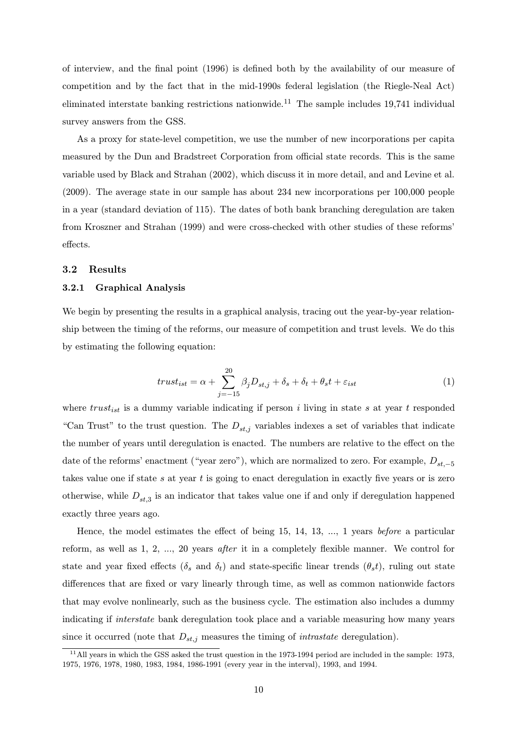of interview, and the final point (1996) is defined both by the availability of our measure of competition and by the fact that in the mid-1990s federal legislation (the Riegle-Neal Act) eliminated interstate banking restrictions nationwide.<sup>11</sup> The sample includes 19,741 individual survey answers from the GSS.

As a proxy for state-level competition, we use the number of new incorporations per capita measured by the Dun and Bradstreet Corporation from official state records. This is the same variable used by Black and Strahan (2002), which discuss it in more detail, and and Levine et al. (2009). The average state in our sample has about 234 new incorporations per 100,000 people in a year (standard deviation of 115). The dates of both bank branching deregulation are taken from Kroszner and Strahan (1999) and were cross-checked with other studies of these reforms' effects.

#### 3.2 Results

## 3.2.1 Graphical Analysis

We begin by presenting the results in a graphical analysis, tracing out the year-by-year relationship between the timing of the reforms, our measure of competition and trust levels. We do this by estimating the following equation:

$$
trust_{ist} = \alpha + \sum_{j=-15}^{20} \beta_j D_{st,j} + \delta_s + \delta_t + \theta_s t + \varepsilon_{ist}
$$
\n<sup>(1)</sup>

where  $trust_{ist}$  is a dummy variable indicating if person i living in state s at year t responded "Can Trust" to the trust question. The  $D_{st,i}$  variables indexes a set of variables that indicate the number of years until deregulation is enacted. The numbers are relative to the effect on the date of the reforms' enactment ("year zero"), which are normalized to zero. For example,  $D_{st,-5}$ takes value one if state  $s$  at year  $t$  is going to enact deregulation in exactly five years or is zero otherwise, while  $D_{st,3}$  is an indicator that takes value one if and only if deregulation happened exactly three years ago.

Hence, the model estimates the effect of being 15, 14, 13, ..., 1 years before a particular reform, as well as 1, 2, ..., 20 years after it in a completely flexible manner. We control for state and year fixed effects ( $\delta_s$  and  $\delta_t$ ) and state-specific linear trends ( $\theta_s t$ ), ruling out state differences that are fixed or vary linearly through time, as well as common nationwide factors that may evolve nonlinearly, such as the business cycle. The estimation also includes a dummy indicating if *interstate* bank deregulation took place and a variable measuring how many years since it occurred (note that  $D_{st,j}$  measures the timing of *intrastate* deregulation).

 $11$ All years in which the GSS asked the trust question in the 1973-1994 period are included in the sample: 1973, 1975, 1976, 1978, 1980, 1983, 1984, 1986-1991 (every year in the interval), 1993, and 1994.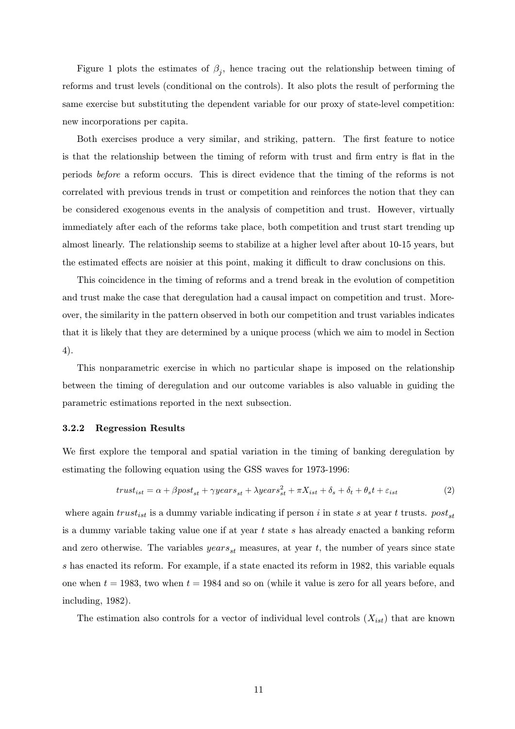Figure 1 plots the estimates of  $\beta_j$ , hence tracing out the relationship between timing of reforms and trust levels (conditional on the controls). It also plots the result of performing the same exercise but substituting the dependent variable for our proxy of state-level competition: new incorporations per capita.

Both exercises produce a very similar, and striking, pattern. The first feature to notice is that the relationship between the timing of reform with trust and firm entry is flat in the periods before a reform occurs. This is direct evidence that the timing of the reforms is not correlated with previous trends in trust or competition and reinforces the notion that they can be considered exogenous events in the analysis of competition and trust. However, virtually immediately after each of the reforms take place, both competition and trust start trending up almost linearly. The relationship seems to stabilize at a higher level after about 10-15 years, but the estimated effects are noisier at this point, making it difficult to draw conclusions on this.

This coincidence in the timing of reforms and a trend break in the evolution of competition and trust make the case that deregulation had a causal impact on competition and trust. Moreover, the similarity in the pattern observed in both our competition and trust variables indicates that it is likely that they are determined by a unique process (which we aim to model in Section 4).

This nonparametric exercise in which no particular shape is imposed on the relationship between the timing of deregulation and our outcome variables is also valuable in guiding the parametric estimations reported in the next subsection.

#### 3.2.2 Regression Results

We first explore the temporal and spatial variation in the timing of banking deregulation by estimating the following equation using the GSS waves for 1973-1996:

$$
trust_{ist} = \alpha + \beta post_{st} + \gamma years_{st} + \lambda years_{st}^{2} + \pi X_{ist} + \delta_{s} + \delta_{t} + \theta_{s}t + \varepsilon_{ist}
$$
\n(2)

where again  $trust_{ist}$  is a dummy variable indicating if person i in state s at year t trusts.  $post_{st}$ is a dummy variable taking value one if at year  $t$  state  $s$  has already enacted a banking reform and zero otherwise. The variables  $years_{st}$  measures, at year t, the number of years since state s has enacted its reform. For example, if a state enacted its reform in 1982, this variable equals one when  $t = 1983$ , two when  $t = 1984$  and so on (while it value is zero for all years before, and including, 1982).

The estimation also controls for a vector of individual level controls  $(X_{ist})$  that are known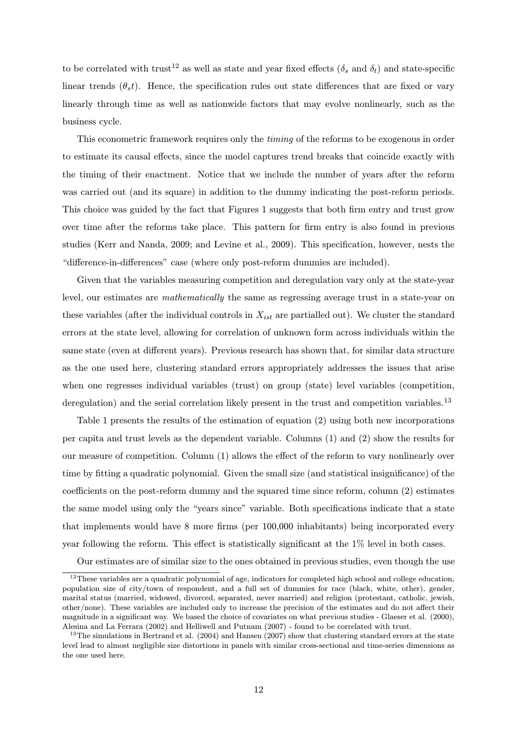to be correlated with trust<sup>12</sup> as well as state and year fixed effects ( $\delta_s$  and  $\delta_t$ ) and state-specific linear trends  $(\theta_s t)$ . Hence, the specification rules out state differences that are fixed or vary linearly through time as well as nationwide factors that may evolve nonlinearly, such as the business cycle.

This econometric framework requires only the timing of the reforms to be exogenous in order to estimate its causal effects, since the model captures trend breaks that coincide exactly with the timing of their enactment. Notice that we include the number of years after the reform was carried out (and its square) in addition to the dummy indicating the post-reform periods. This choice was guided by the fact that Figures 1 suggests that both firm entry and trust grow over time after the reforms take place. This pattern for firm entry is also found in previous studies (Kerr and Nanda, 2009; and Levine et al., 2009). This specification, however, nests the "difference-in-differences" case (where only post-reform dummies are included).

Given that the variables measuring competition and deregulation vary only at the state-year level, our estimates are mathematically the same as regressing average trust in a state-year on these variables (after the individual controls in  $X_{ist}$  are partialled out). We cluster the standard errors at the state level, allowing for correlation of unknown form across individuals within the same state (even at different years). Previous research has shown that, for similar data structure as the one used here, clustering standard errors appropriately addresses the issues that arise when one regresses individual variables (trust) on group (state) level variables (competition, deregulation) and the serial correlation likely present in the trust and competition variables.<sup>13</sup>

Table 1 presents the results of the estimation of equation (2) using both new incorporations per capita and trust levels as the dependent variable. Columns (1) and (2) show the results for our measure of competition. Column (1) allows the effect of the reform to vary nonlinearly over time by fitting a quadratic polynomial. Given the small size (and statistical insignificance) of the coefficients on the post-reform dummy and the squared time since reform, column (2) estimates the same model using only the "years since" variable. Both specifications indicate that a state that implements would have 8 more firms (per 100,000 inhabitants) being incorporated every year following the reform. This effect is statistically significant at the 1% level in both cases.

Our estimates are of similar size to the ones obtained in previous studies, even though the use

 $12$ These variables are a quadratic polynomial of age, indicators for completed high school and college education, population size of city/town of respondent, and a full set of dummies for race (black, white, other), gender, marital status (married, widowed, divorced, separated, never married) and religion (protestant, catholic, jewish, other/none). These variables are included only to increase the precision of the estimates and do not affect their magnitude in a significant way. We based the choice of covariates on what previous studies - Glaeser et al. (2000), Alesina and La Ferrara (2002) and Helliwell and Putnam (2007) - found to be correlated with trust.

 $13$ The simulations in Bertrand et al. (2004) and Hansen (2007) show that clustering standard errors at the state level lead to almost negligible size distortions in panels with similar cross-sectional and time-series dimensions as the one used here.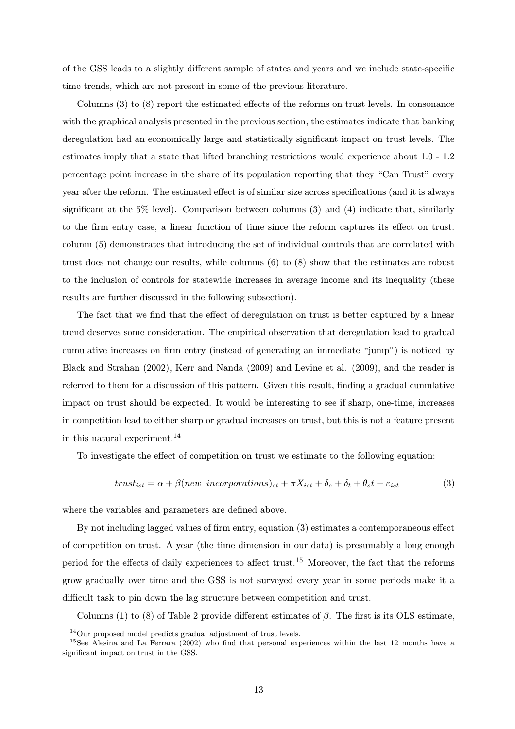of the GSS leads to a slightly different sample of states and years and we include state-specific time trends, which are not present in some of the previous literature.

Columns (3) to (8) report the estimated effects of the reforms on trust levels. In consonance with the graphical analysis presented in the previous section, the estimates indicate that banking deregulation had an economically large and statistically significant impact on trust levels. The estimates imply that a state that lifted branching restrictions would experience about 1.0 - 1.2 percentage point increase in the share of its population reporting that they "Can Trust" every year after the reform. The estimated effect is of similar size across specifications (and it is always significant at the 5% level). Comparison between columns  $(3)$  and  $(4)$  indicate that, similarly to the firm entry case, a linear function of time since the reform captures its effect on trust. column (5) demonstrates that introducing the set of individual controls that are correlated with trust does not change our results, while columns (6) to (8) show that the estimates are robust to the inclusion of controls for statewide increases in average income and its inequality (these results are further discussed in the following subsection).

The fact that we find that the effect of deregulation on trust is better captured by a linear trend deserves some consideration. The empirical observation that deregulation lead to gradual cumulative increases on firm entry (instead of generating an immediate "jump") is noticed by Black and Strahan (2002), Kerr and Nanda (2009) and Levine et al. (2009), and the reader is referred to them for a discussion of this pattern. Given this result, finding a gradual cumulative impact on trust should be expected. It would be interesting to see if sharp, one-time, increases in competition lead to either sharp or gradual increases on trust, but this is not a feature present in this natural experiment.<sup>14</sup>

To investigate the effect of competition on trust we estimate to the following equation:

$$
trust_{ist} = \alpha + \beta(new\ incorporations)_{st} + \pi X_{ist} + \delta_s + \delta_t + \theta_s t + \varepsilon_{ist}
$$
\n(3)

where the variables and parameters are defined above.

By not including lagged values of firm entry, equation (3) estimates a contemporaneous effect of competition on trust. A year (the time dimension in our data) is presumably a long enough period for the effects of daily experiences to affect trust.<sup>15</sup> Moreover, the fact that the reforms grow gradually over time and the GSS is not surveyed every year in some periods make it a difficult task to pin down the lag structure between competition and trust.

Columns (1) to (8) of Table 2 provide different estimates of  $\beta$ . The first is its OLS estimate,

<sup>14</sup>Our proposed model predicts gradual adjustment of trust levels.

<sup>&</sup>lt;sup>15</sup>See Alesina and La Ferrara (2002) who find that personal experiences within the last 12 months have a significant impact on trust in the GSS.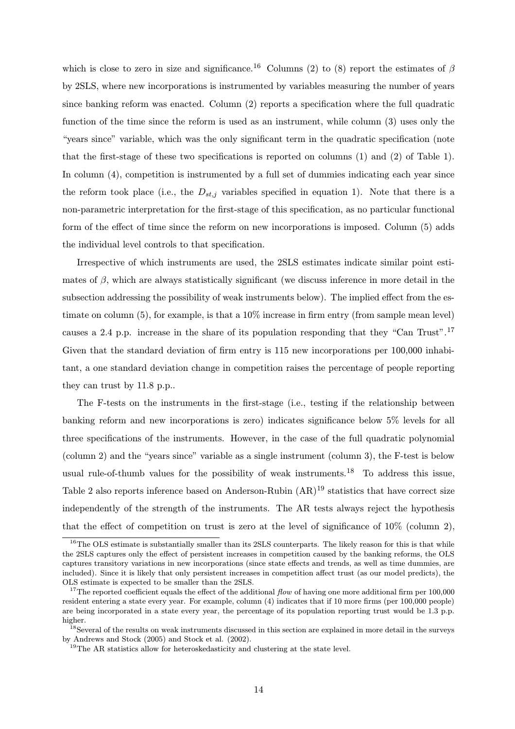which is close to zero in size and significance.<sup>16</sup> Columns (2) to (8) report the estimates of  $\beta$ by 2SLS, where new incorporations is instrumented by variables measuring the number of years since banking reform was enacted. Column (2) reports a specification where the full quadratic function of the time since the reform is used as an instrument, while column (3) uses only the "years since" variable, which was the only significant term in the quadratic specification (note that the first-stage of these two specifications is reported on columns (1) and (2) of Table 1). In column (4), competition is instrumented by a full set of dummies indicating each year since the reform took place (i.e., the  $D_{st,j}$  variables specified in equation 1). Note that there is a non-parametric interpretation for the first-stage of this specification, as no particular functional form of the effect of time since the reform on new incorporations is imposed. Column (5) adds the individual level controls to that specification.

Irrespective of which instruments are used, the 2SLS estimates indicate similar point estimates of  $\beta$ , which are always statistically significant (we discuss inference in more detail in the subsection addressing the possibility of weak instruments below). The implied effect from the estimate on column (5), for example, is that a 10% increase in firm entry (from sample mean level) causes a 2.4 p.p. increase in the share of its population responding that they "Can Trust".<sup>17</sup> Given that the standard deviation of firm entry is 115 new incorporations per 100,000 inhabitant, a one standard deviation change in competition raises the percentage of people reporting they can trust by 11.8 p.p..

The F-tests on the instruments in the first-stage (i.e., testing if the relationship between banking reform and new incorporations is zero) indicates significance below 5% levels for all three specifications of the instruments. However, in the case of the full quadratic polynomial (column 2) and the "years since" variable as a single instrument (column 3), the F-test is below usual rule-of-thumb values for the possibility of weak instruments.<sup>18</sup> To address this issue, Table 2 also reports inference based on Anderson-Rubin  $(AR)^{19}$  statistics that have correct size independently of the strength of the instruments. The AR tests always reject the hypothesis that the effect of competition on trust is zero at the level of significance of 10% (column 2),

 $16$ The OLS estimate is substantially smaller than its 2SLS counterparts. The likely reason for this is that while the 2SLS captures only the effect of persistent increases in competition caused by the banking reforms, the OLS captures transitory variations in new incorporations (since state effects and trends, as well as time dummies, are included). Since it is likely that only persistent increases in competition affect trust (as our model predicts), the OLS estimate is expected to be smaller than the 2SLS.

<sup>&</sup>lt;sup>17</sup>The reported coefficient equals the effect of the additional  $flow$  of having one more additional firm per 100,000 resident entering a state every year. For example, column (4) indicates that if 10 more firms (per 100,000 people) are being incorporated in a state every year, the percentage of its population reporting trust would be 1.3 p.p. higher.

<sup>&</sup>lt;sup>18</sup>Several of the results on weak instruments discussed in this section are explained in more detail in the surveys by Andrews and Stock (2005) and Stock et al. (2002).

<sup>&</sup>lt;sup>19</sup>The AR statistics allow for heteroskedasticity and clustering at the state level.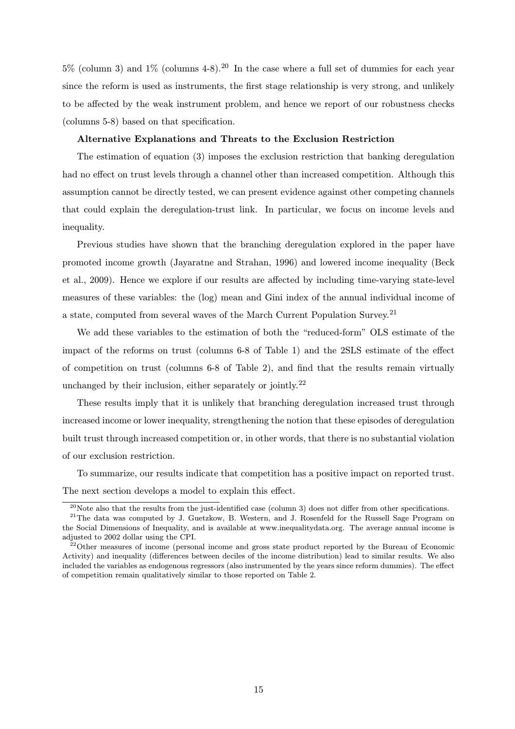$5\%$  (column 3) and  $1\%$  (columns 4-8).<sup>20</sup> In the case where a full set of dummies for each year since the reform is used as instruments, the first stage relationship is very strong, and unlikely to be affected by the weak instrument problem, and hence we report of our robustness checks (columns 5-8) based on that specification.

## Alternative Explanations and Threats to the Exclusion Restriction

The estimation of equation (3) imposes the exclusion restriction that banking deregulation had no effect on trust levels through a channel other than increased competition. Although this assumption cannot be directly tested, we can present evidence against other competing channels that could explain the deregulation-trust link. In particular, we focus on income levels and inequality.

Previous studies have shown that the branching deregulation explored in the paper have promoted income growth (Jayaratne and Strahan, 1996) and lowered income inequality (Beck et al., 2009). Hence we explore if our results are affected by including time-varying state-level measures of these variables: the (log) mean and Gini index of the annual individual income of a state, computed from several waves of the March Current Population Survey.<sup>21</sup>

We add these variables to the estimation of both the "reduced-form" OLS estimate of the impact of the reforms on trust (columns 6-8 of Table 1) and the 2SLS estimate of the effect of competition on trust (columns 6-8 of Table 2), and find that the results remain virtually unchanged by their inclusion, either separately or jointly.<sup>22</sup>

These results imply that it is unlikely that branching deregulation increased trust through increased income or lower inequality, strengthening the notion that these episodes of deregulation built trust through increased competition or, in other words, that there is no substantial violation of our exclusion restriction.

To summarize, our results indicate that competition has a positive impact on reported trust. The next section develops a model to explain this effect.

 $^{20}$ Note also that the results from the just-identified case (column 3) does not differ from other specifications.

<sup>&</sup>lt;sup>21</sup>The data was computed by J. Guetzkow, B. Western, and J. Rosenfeld for the Russell Sage Program on the Social Dimensions of Inequality, and is available at www.inequalitydata.org. The average annual income is adjusted to 2002 dollar using the CPI.

 $22$ Other measures of income (personal income and gross state product reported by the Bureau of Economic Activity) and inequality (differences between deciles of the income distribution) lead to similar results. We also included the variables as endogenous regressors (also instrumented by the years since reform dummies). The effect of competition remain qualitatively similar to those reported on Table 2.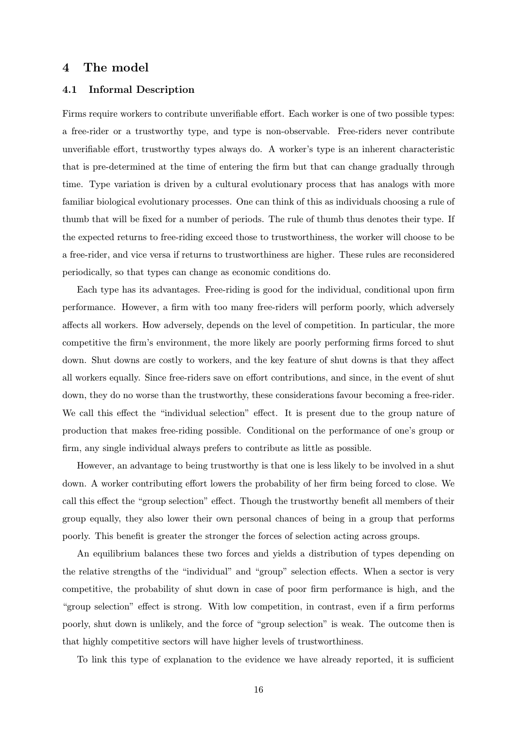# 4 The model

## 4.1 Informal Description

Firms require workers to contribute unverifiable effort. Each worker is one of two possible types: a free-rider or a trustworthy type, and type is non-observable. Free-riders never contribute unverifiable effort, trustworthy types always do. A worker's type is an inherent characteristic that is pre-determined at the time of entering the firm but that can change gradually through time. Type variation is driven by a cultural evolutionary process that has analogs with more familiar biological evolutionary processes. One can think of this as individuals choosing a rule of thumb that will be fixed for a number of periods. The rule of thumb thus denotes their type. If the expected returns to free-riding exceed those to trustworthiness, the worker will choose to be a free-rider, and vice versa if returns to trustworthiness are higher. These rules are reconsidered periodically, so that types can change as economic conditions do.

Each type has its advantages. Free-riding is good for the individual, conditional upon firm performance. However, a firm with too many free-riders will perform poorly, which adversely affects all workers. How adversely, depends on the level of competition. In particular, the more competitive the firm's environment, the more likely are poorly performing firms forced to shut down. Shut downs are costly to workers, and the key feature of shut downs is that they affect all workers equally. Since free-riders save on effort contributions, and since, in the event of shut down, they do no worse than the trustworthy, these considerations favour becoming a free-rider. We call this effect the "individual selection" effect. It is present due to the group nature of production that makes free-riding possible. Conditional on the performance of one's group or firm, any single individual always prefers to contribute as little as possible.

However, an advantage to being trustworthy is that one is less likely to be involved in a shut down. A worker contributing effort lowers the probability of her firm being forced to close. We call this effect the "group selection" effect. Though the trustworthy benefit all members of their group equally, they also lower their own personal chances of being in a group that performs poorly. This benefit is greater the stronger the forces of selection acting across groups.

An equilibrium balances these two forces and yields a distribution of types depending on the relative strengths of the "individual" and "group" selection effects. When a sector is very competitive, the probability of shut down in case of poor firm performance is high, and the "group selection" effect is strong. With low competition, in contrast, even if a firm performs poorly, shut down is unlikely, and the force of "group selection" is weak. The outcome then is that highly competitive sectors will have higher levels of trustworthiness.

To link this type of explanation to the evidence we have already reported, it is sufficient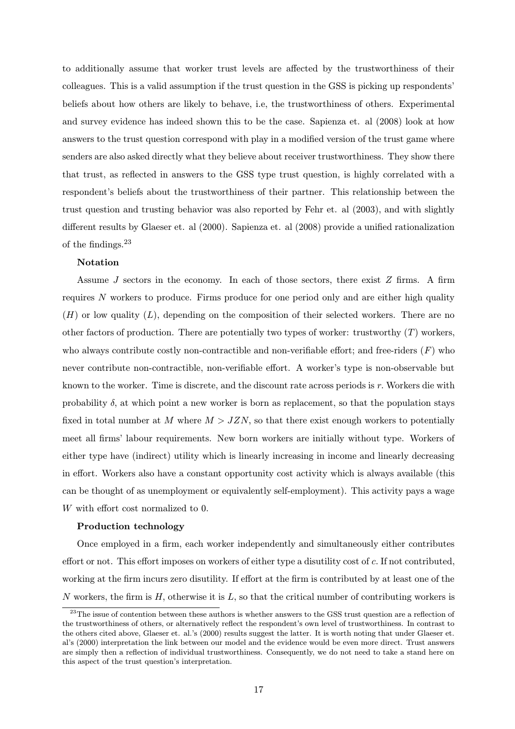to additionally assume that worker trust levels are affected by the trustworthiness of their colleagues. This is a valid assumption if the trust question in the GSS is picking up respondents' beliefs about how others are likely to behave, i.e, the trustworthiness of others. Experimental and survey evidence has indeed shown this to be the case. Sapienza et. al (2008) look at how answers to the trust question correspond with play in a modified version of the trust game where senders are also asked directly what they believe about receiver trustworthiness. They show there that trust, as reflected in answers to the GSS type trust question, is highly correlated with a respondent's beliefs about the trustworthiness of their partner. This relationship between the trust question and trusting behavior was also reported by Fehr et. al (2003), and with slightly different results by Glaeser et. al (2000). Sapienza et. al (2008) provide a unified rationalization of the findings.<sup>23</sup>

## Notation

Assume  $J$  sectors in the economy. In each of those sectors, there exist  $Z$  firms. A firm requires  $N$  workers to produce. Firms produce for one period only and are either high quality  $(H)$  or low quality  $(L)$ , depending on the composition of their selected workers. There are no other factors of production. There are potentially two types of worker: trustworthy  $(T)$  workers, who always contribute costly non-contractible and non-verifiable effort; and free-riders  $(F)$  who never contribute non-contractible, non-verifiable effort. A worker's type is non-observable but known to the worker. Time is discrete, and the discount rate across periods is r. Workers die with probability  $\delta$ , at which point a new worker is born as replacement, so that the population stays fixed in total number at M where  $M > JZN$ , so that there exist enough workers to potentially meet all firms' labour requirements. New born workers are initially without type. Workers of either type have (indirect) utility which is linearly increasing in income and linearly decreasing in effort. Workers also have a constant opportunity cost activity which is always available (this can be thought of as unemployment or equivalently self-employment). This activity pays a wage W with effort cost normalized to 0.

### Production technology

Once employed in a firm, each worker independently and simultaneously either contributes effort or not. This effort imposes on workers of either type a disutility cost of c. If not contributed, working at the firm incurs zero disutility. If effort at the firm is contributed by at least one of the N workers, the firm is  $H$ , otherwise it is  $L$ , so that the critical number of contributing workers is

<sup>&</sup>lt;sup>23</sup>The issue of contention between these authors is whether answers to the GSS trust question are a reflection of the trustworthiness of others, or alternatively reflect the respondent's own level of trustworthiness. In contrast to the others cited above, Glaeser et. al.'s (2000) results suggest the latter. It is worth noting that under Glaeser et. al's (2000) interpretation the link between our model and the evidence would be even more direct. Trust answers are simply then a reflection of individual trustworthiness. Consequently, we do not need to take a stand here on this aspect of the trust question's interpretation.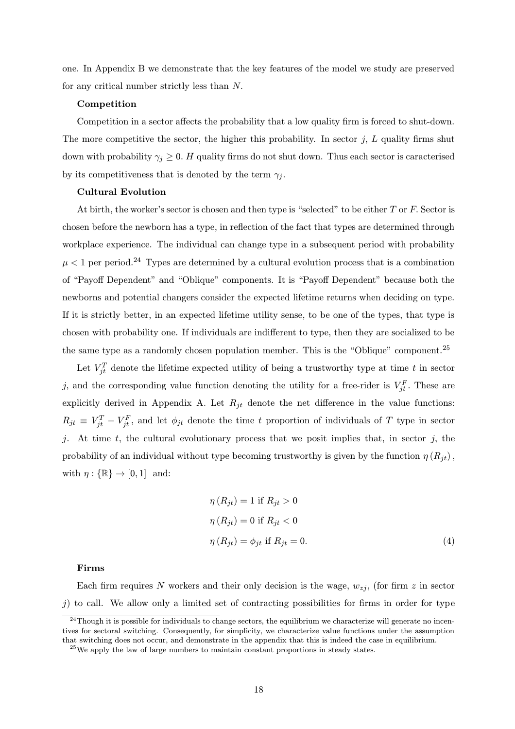one. In Appendix B we demonstrate that the key features of the model we study are preserved for any critical number strictly less than N.

### Competition

Competition in a sector affects the probability that a low quality firm is forced to shut-down. The more competitive the sector, the higher this probability. In sector  $j$ ,  $L$  quality firms shut down with probability  $\gamma_i \geq 0$ . H quality firms do not shut down. Thus each sector is caracterised by its competitiveness that is denoted by the term  $\gamma_i$ .

#### Cultural Evolution

At birth, the worker's sector is chosen and then type is "selected" to be either  $T$  or  $F$ . Sector is chosen before the newborn has a type, in reflection of the fact that types are determined through workplace experience. The individual can change type in a subsequent period with probability  $\mu < 1$  per period.<sup>24</sup> Types are determined by a cultural evolution process that is a combination of "Payoff Dependent" and "Oblique" components. It is "Payoff Dependent" because both the newborns and potential changers consider the expected lifetime returns when deciding on type. If it is strictly better, in an expected lifetime utility sense, to be one of the types, that type is chosen with probability one. If individuals are indifferent to type, then they are socialized to be the same type as a randomly chosen population member. This is the "Oblique" component.<sup>25</sup>

Let  $V_{jt}^T$  denote the lifetime expected utility of being a trustworthy type at time t in sector j, and the corresponding value function denoting the utility for a free-rider is  $V_{jt}^F$ . These are explicitly derived in Appendix A. Let  $R_{jt}$  denote the net difference in the value functions:  $R_{jt} \equiv V_{jt}^T - V_{jt}^F$ , and let  $\phi_{jt}$  denote the time t proportion of individuals of T type in sector j. At time  $t$ , the cultural evolutionary process that we posit implies that, in sector j, the probability of an individual without type becoming trustworthy is given by the function  $\eta(R_{jt})$ , with  $\eta: \{\mathbb{R}\} \to [0, 1]$  and:

$$
\eta(R_{jt}) = 1 \text{ if } R_{jt} > 0
$$
  

$$
\eta(R_{jt}) = 0 \text{ if } R_{jt} < 0
$$
  

$$
\eta(R_{jt}) = \phi_{jt} \text{ if } R_{jt} = 0.
$$
  
(4)

#### Firms

Each firm requires N workers and their only decision is the wage,  $w_{zi}$ , (for firm z in sector  $j$ ) to call. We allow only a limited set of contracting possibilities for firms in order for type

 $^{24}$ Though it is possible for individuals to change sectors, the equilibrium we characterize will generate no incentives for sectoral switching. Consequently, for simplicity, we characterize value functions under the assumption that switching does not occur, and demonstrate in the appendix that this is indeed the case in equilibrium.

 $25$ We apply the law of large numbers to maintain constant proportions in steady states.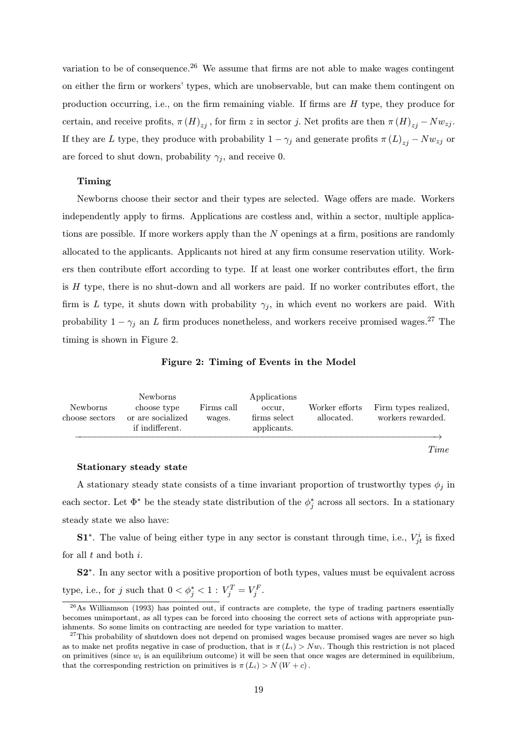variation to be of consequence.<sup>26</sup> We assume that firms are not able to make wages contingent on either the firm or workers' types, which are unobservable, but can make them contingent on production occurring, i.e., on the firm remaining viable. If firms are H type, they produce for certain, and receive profits,  $\pi(H)_{z_i}$ , for firm z in sector j. Net profits are then  $\pi(H)_{z_i} - Nw_{z_i}$ . If they are L type, they produce with probability  $1 - \gamma_j$  and generate profits  $\pi (L)_{z_i} - N w_{z_j}$  or are forced to shut down, probability  $\gamma_j$ , and receive 0.

#### Timing

Newborns choose their sector and their types are selected. Wage offers are made. Workers independently apply to firms. Applications are costless and, within a sector, multiple applications are possible. If more workers apply than the N openings at a firm, positions are randomly allocated to the applicants. Applicants not hired at any firm consume reservation utility. Workers then contribute effort according to type. If at least one worker contributes effort, the firm is  $H$  type, there is no shut-down and all workers are paid. If no worker contributes effort, the firm is L type, it shuts down with probability  $\gamma_i$ , in which event no workers are paid. With probability  $1 - \gamma_j$  an L firm produces nonetheless, and workers receive promised wages.<sup>27</sup> The timing is shown in Figure 2.

Figure 2: Timing of Events in the Model

| Newborns<br>choose sectors | <b>Newborns</b><br>choose type<br>or are socialized<br>if indifferent. | Firms call<br>wages. | Applications<br>occur.<br>firms select<br>applicants. | Worker efforts<br>allocated. | Firm types realized,<br>workers rewarded. |
|----------------------------|------------------------------------------------------------------------|----------------------|-------------------------------------------------------|------------------------------|-------------------------------------------|
|                            |                                                                        |                      |                                                       |                              |                                           |

## Time

#### Stationary steady state

A stationary steady state consists of a time invariant proportion of trustworthy types  $\phi_j$  in each sector. Let  $\Phi^*$  be the steady state distribution of the  $\phi_j^*$  across all sectors. In a stationary steady state we also have:

**S1<sup>\*</sup>**. The value of being either type in any sector is constant through time, i.e.,  $V_{jt}^{i}$  is fixed for all  $t$  and both  $i$ .

S2∗. In any sector with a positive proportion of both types, values must be equivalent across type, i.e., for j such that  $0 < \phi_j^* < 1$  :  $V_j^T = V_j^F$ .

 $^{26}$ As Williamson (1993) has pointed out, if contracts are complete, the type of trading partners essentially becomes unimportant, as all types can be forced into choosing the correct sets of actions with appropriate punishments. So some limits on contracting are needed for type variation to matter.

<sup>&</sup>lt;sup>27</sup>This probability of shutdown does not depend on promised wages because promised wages are never so high as to make net profits negative in case of production, that is  $\pi(L_i) > N w_i$ . Though this restriction is not placed on primitives (since  $w_i$  is an equilibrium outcome) it will be seen that once wages are determined in equilibrium, that the corresponding restriction on primitives is  $\pi(L_i) > N(W + c)$ .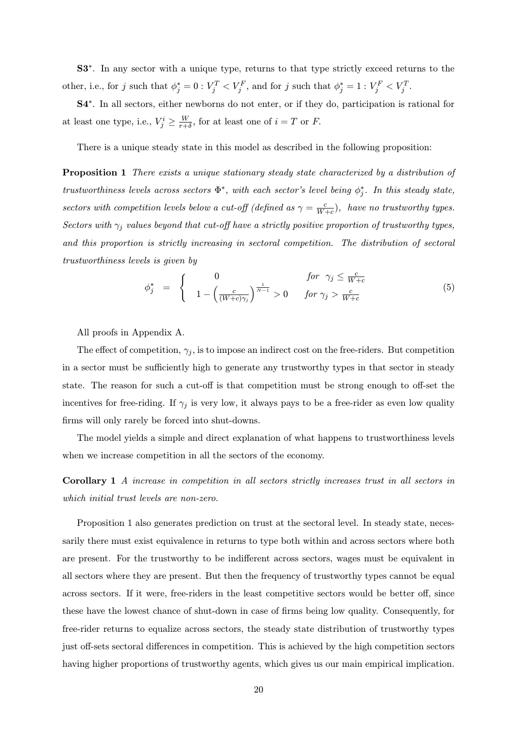S3∗. In any sector with a unique type, returns to that type strictly exceed returns to the other, i.e., for j such that  $\phi_j^* = 0 : V_j^T < V_j^F$ , and for j such that  $\phi_j^* = 1 : V_j^F < V_j^T$ .

S4∗. In all sectors, either newborns do not enter, or if they do, participation is rational for at least one type, i.e.,  $V_j^i \ge \frac{W}{r+\delta}$ , for at least one of  $i = T$  or F.

There is a unique steady state in this model as described in the following proposition:

Proposition 1 There exists a unique stationary steady state characterized by a distribution of trustworthiness levels across sectors  $\Phi^*$ , with each sector's level being  $\phi_j^*$ . In this steady state, sectors with competition levels below a cut-off (defined as  $\gamma = \frac{c}{W+c}$ ), have no trustworthy types. Sectors with  $\gamma_j$  values beyond that cut-off have a strictly positive proportion of trustworthy types, and this proportion is strictly increasing in sectoral competition. The distribution of sectoral trustworthiness levels is given by

$$
\phi_j^* = \begin{cases} 0 & \text{for } \gamma_j \le \frac{c}{W+c} \\ 1 - \left(\frac{c}{(W+c)\gamma_j}\right)^{\frac{1}{N-1}} > 0 & \text{for } \gamma_j > \frac{c}{W+c} \end{cases}
$$
(5)

All proofs in Appendix A.

The effect of competition,  $\gamma_j$ , is to impose an indirect cost on the free-riders. But competition in a sector must be sufficiently high to generate any trustworthy types in that sector in steady state. The reason for such a cut-off is that competition must be strong enough to off-set the incentives for free-riding. If  $\gamma_i$  is very low, it always pays to be a free-rider as even low quality firms will only rarely be forced into shut-downs.

The model yields a simple and direct explanation of what happens to trustworthiness levels when we increase competition in all the sectors of the economy.

Corollary 1 A increase in competition in all sectors strictly increases trust in all sectors in which initial trust levels are non-zero.

Proposition 1 also generates prediction on trust at the sectoral level. In steady state, necessarily there must exist equivalence in returns to type both within and across sectors where both are present. For the trustworthy to be indifferent across sectors, wages must be equivalent in all sectors where they are present. But then the frequency of trustworthy types cannot be equal across sectors. If it were, free-riders in the least competitive sectors would be better off, since these have the lowest chance of shut-down in case of firms being low quality. Consequently, for free-rider returns to equalize across sectors, the steady state distribution of trustworthy types just off-sets sectoral differences in competition. This is achieved by the high competition sectors having higher proportions of trustworthy agents, which gives us our main empirical implication.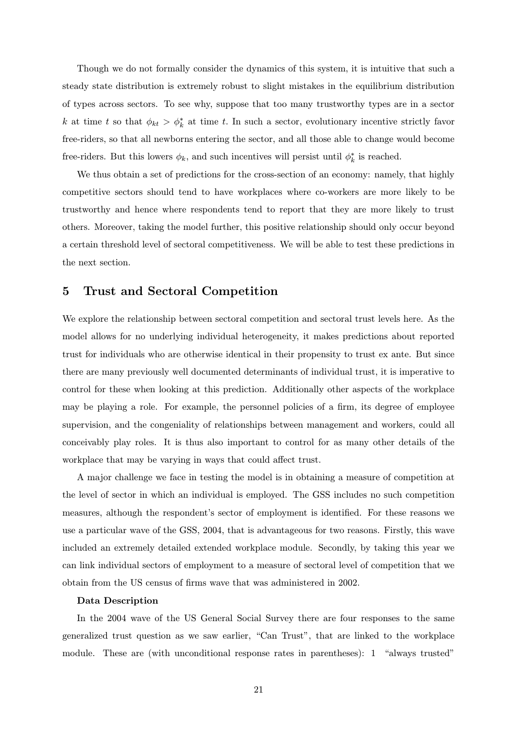Though we do not formally consider the dynamics of this system, it is intuitive that such a steady state distribution is extremely robust to slight mistakes in the equilibrium distribution of types across sectors. To see why, suppose that too many trustworthy types are in a sector k at time t so that  $\phi_{kt} > \phi_k^*$  at time t. In such a sector, evolutionary incentive strictly favor free-riders, so that all newborns entering the sector, and all those able to change would become free-riders. But this lowers  $\phi_k$ , and such incentives will persist until  $\phi_k^*$  is reached.

We thus obtain a set of predictions for the cross-section of an economy: namely, that highly competitive sectors should tend to have workplaces where co-workers are more likely to be trustworthy and hence where respondents tend to report that they are more likely to trust others. Moreover, taking the model further, this positive relationship should only occur beyond a certain threshold level of sectoral competitiveness. We will be able to test these predictions in the next section.

# 5 Trust and Sectoral Competition

We explore the relationship between sectoral competition and sectoral trust levels here. As the model allows for no underlying individual heterogeneity, it makes predictions about reported trust for individuals who are otherwise identical in their propensity to trust ex ante. But since there are many previously well documented determinants of individual trust, it is imperative to control for these when looking at this prediction. Additionally other aspects of the workplace may be playing a role. For example, the personnel policies of a firm, its degree of employee supervision, and the congeniality of relationships between management and workers, could all conceivably play roles. It is thus also important to control for as many other details of the workplace that may be varying in ways that could affect trust.

A major challenge we face in testing the model is in obtaining a measure of competition at the level of sector in which an individual is employed. The GSS includes no such competition measures, although the respondent's sector of employment is identified. For these reasons we use a particular wave of the GSS, 2004, that is advantageous for two reasons. Firstly, this wave included an extremely detailed extended workplace module. Secondly, by taking this year we can link individual sectors of employment to a measure of sectoral level of competition that we obtain from the US census of firms wave that was administered in 2002.

### Data Description

In the 2004 wave of the US General Social Survey there are four responses to the same generalized trust question as we saw earlier, "Can Trust", that are linked to the workplace module. These are (with unconditional response rates in parentheses): 1 "always trusted"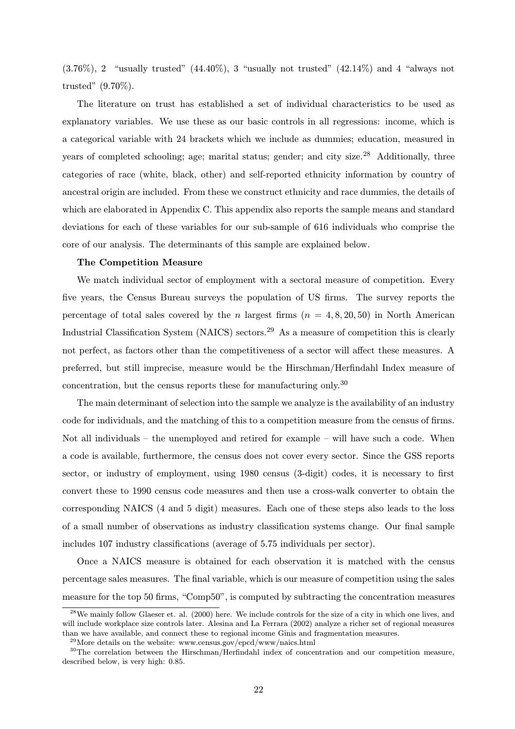$(3.76\%)$ , 2 "usually trusted"  $(44.40\%)$ , 3 "usually not trusted"  $(42.14\%)$  and 4 "always not trusted" (9.70%).

The literature on trust has established a set of individual characteristics to be used as explanatory variables. We use these as our basic controls in all regressions: income, which is a categorical variable with 24 brackets which we include as dummies; education, measured in years of completed schooling; age; marital status; gender; and city size.<sup>28</sup> Additionally, three categories of race (white, black, other) and self-reported ethnicity information by country of ancestral origin are included. From these we construct ethnicity and race dummies, the details of which are elaborated in Appendix C. This appendix also reports the sample means and standard deviations for each of these variables for our sub-sample of 616 individuals who comprise the core of our analysis. The determinants of this sample are explained below.

## The Competition Measure

We match individual sector of employment with a sectoral measure of competition. Every five years, the Census Bureau surveys the population of US firms. The survey reports the percentage of total sales covered by the n largest firms  $(n = 4, 8, 20, 50)$  in North American Industrial Classification System (NAICS) sectors.<sup>29</sup> As a measure of competition this is clearly not perfect, as factors other than the competitiveness of a sector will affect these measures. A preferred, but still imprecise, measure would be the Hirschman/Herfindahl Index measure of concentration, but the census reports these for manufacturing only.<sup>30</sup>

The main determinant of selection into the sample we analyze is the availability of an industry code for individuals, and the matching of this to a competition measure from the census of firms. Not all individuals – the unemployed and retired for example – will have such a code. When a code is available, furthermore, the census does not cover every sector. Since the GSS reports sector, or industry of employment, using 1980 census (3-digit) codes, it is necessary to first convert these to 1990 census code measures and then use a cross-walk converter to obtain the corresponding NAICS (4 and 5 digit) measures. Each one of these steps also leads to the loss of a small number of observations as industry classification systems change. Our final sample includes 107 industry classifications (average of 5.75 individuals per sector).

Once a NAICS measure is obtained for each observation it is matched with the census percentage sales measures. The final variable, which is our measure of competition using the sales measure for the top 50 firms, "Comp50", is computed by subtracting the concentration measures

<sup>&</sup>lt;sup>28</sup>We mainly follow Glaeser et. al. (2000) here. We include controls for the size of a city in which one lives, and will include workplace size controls later. Alesina and La Ferrara (2002) analyze a richer set of regional measures than we have available, and connect these to regional income Ginis and fragmentation measures.

 $^{29}$ More details on the website: www.census.gov/epcd/www/naics.html

<sup>30</sup>The correlation between the Hirschman/Herfindahl index of concentration and our competition measure, described below, is very high: 0.85.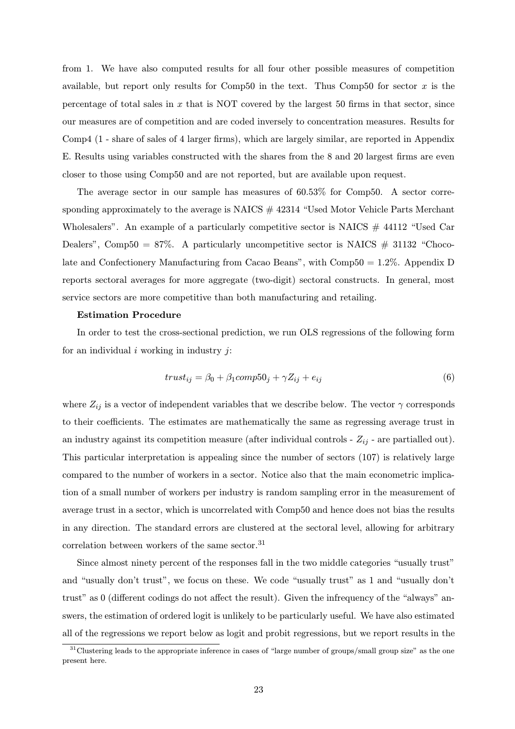from 1. We have also computed results for all four other possible measures of competition available, but report only results for Comp50 in the text. Thus Comp50 for sector  $x$  is the percentage of total sales in  $x$  that is NOT covered by the largest 50 firms in that sector, since our measures are of competition and are coded inversely to concentration measures. Results for Comp4 (1 - share of sales of 4 larger firms), which are largely similar, are reported in Appendix E. Results using variables constructed with the shares from the 8 and 20 largest firms are even closer to those using Comp50 and are not reported, but are available upon request.

The average sector in our sample has measures of 60.53% for Comp50. A sector corresponding approximately to the average is  $NAICS \# 42314$  "Used Motor Vehicle Parts Merchant" Wholesalers". An example of a particularly competitive sector is NAICS  $#$  44112 "Used Car Dealers", Comp50 = 87%. A particularly uncompetitive sector is NAICS  $\#$  31132 "Chocolate and Confectionery Manufacturing from Cacao Beans", with Comp50 = 1.2%. Appendix D reports sectoral averages for more aggregate (two-digit) sectoral constructs. In general, most service sectors are more competitive than both manufacturing and retailing.

#### Estimation Procedure

In order to test the cross-sectional prediction, we run OLS regressions of the following form for an individual  $i$  working in industry  $i$ :

$$
trust_{ij} = \beta_0 + \beta_1 comp50_j + \gamma Z_{ij} + e_{ij}
$$
\n
$$
\tag{6}
$$

where  $Z_{ij}$  is a vector of independent variables that we describe below. The vector  $\gamma$  corresponds to their coefficients. The estimates are mathematically the same as regressing average trust in an industry against its competition measure (after individual controls -  $Z_{ij}$  - are partialled out). This particular interpretation is appealing since the number of sectors (107) is relatively large compared to the number of workers in a sector. Notice also that the main econometric implication of a small number of workers per industry is random sampling error in the measurement of average trust in a sector, which is uncorrelated with Comp50 and hence does not bias the results in any direction. The standard errors are clustered at the sectoral level, allowing for arbitrary correlation between workers of the same sector.  $\!31}$ 

Since almost ninety percent of the responses fall in the two middle categories "usually trust" and "usually don't trust", we focus on these. We code "usually trust" as 1 and "usually don't trust" as 0 (different codings do not affect the result). Given the infrequency of the "always" answers, the estimation of ordered logit is unlikely to be particularly useful. We have also estimated all of the regressions we report below as logit and probit regressions, but we report results in the

 $31$ Clustering leads to the appropriate inference in cases of "large number of groups/small group size" as the one present here.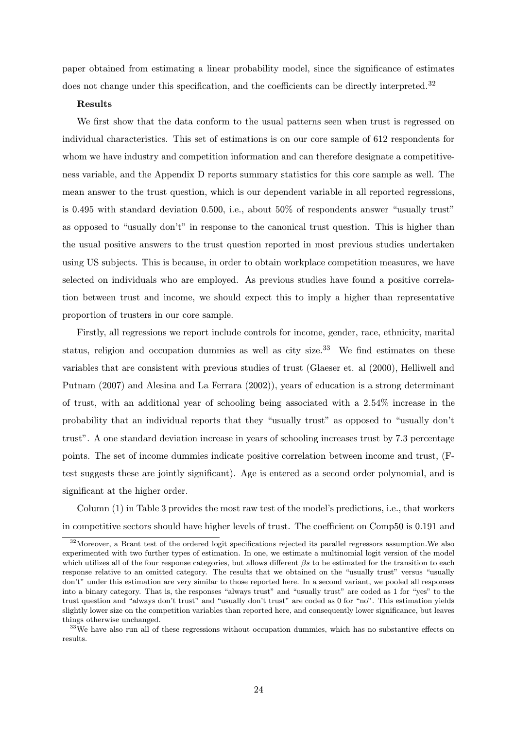paper obtained from estimating a linear probability model, since the significance of estimates does not change under this specification, and the coefficients can be directly interpreted.<sup>32</sup>

#### Results

We first show that the data conform to the usual patterns seen when trust is regressed on individual characteristics. This set of estimations is on our core sample of 612 respondents for whom we have industry and competition information and can therefore designate a competitiveness variable, and the Appendix D reports summary statistics for this core sample as well. The mean answer to the trust question, which is our dependent variable in all reported regressions, is 0.495 with standard deviation 0.500, i.e., about 50% of respondents answer "usually trust" as opposed to "usually don't" in response to the canonical trust question. This is higher than the usual positive answers to the trust question reported in most previous studies undertaken using US subjects. This is because, in order to obtain workplace competition measures, we have selected on individuals who are employed. As previous studies have found a positive correlation between trust and income, we should expect this to imply a higher than representative proportion of trusters in our core sample.

Firstly, all regressions we report include controls for income, gender, race, ethnicity, marital status, religion and occupation dummies as well as city size.<sup>33</sup> We find estimates on these variables that are consistent with previous studies of trust (Glaeser et. al (2000), Helliwell and Putnam (2007) and Alesina and La Ferrara (2002)), years of education is a strong determinant of trust, with an additional year of schooling being associated with a 2.54% increase in the probability that an individual reports that they "usually trust" as opposed to "usually don't trust". A one standard deviation increase in years of schooling increases trust by 7.3 percentage points. The set of income dummies indicate positive correlation between income and trust, (Ftest suggests these are jointly significant). Age is entered as a second order polynomial, and is significant at the higher order.

Column (1) in Table 3 provides the most raw test of the model's predictions, i.e., that workers in competitive sectors should have higher levels of trust. The coefficient on Comp50 is 0.191 and

<sup>&</sup>lt;sup>32</sup>Moreover, a Brant test of the ordered logit specifications rejected its parallel regressors assumption. We also experimented with two further types of estimation. In one, we estimate a multinomial logit version of the model which utilizes all of the four response categories, but allows different  $\beta s$  to be estimated for the transition to each response relative to an omitted category. The results that we obtained on the "usually trust" versus "usually don't" under this estimation are very similar to those reported here. In a second variant, we pooled all responses into a binary category. That is, the responses "always trust" and "usually trust" are coded as 1 for "yes" to the trust question and "always don't trust" and "usually don't trust" are coded as 0 for "no". This estimation yields slightly lower size on the competition variables than reported here, and consequently lower significance, but leaves things otherwise unchanged.

 $33$ We have also run all of these regressions without occupation dummies, which has no substantive effects on results.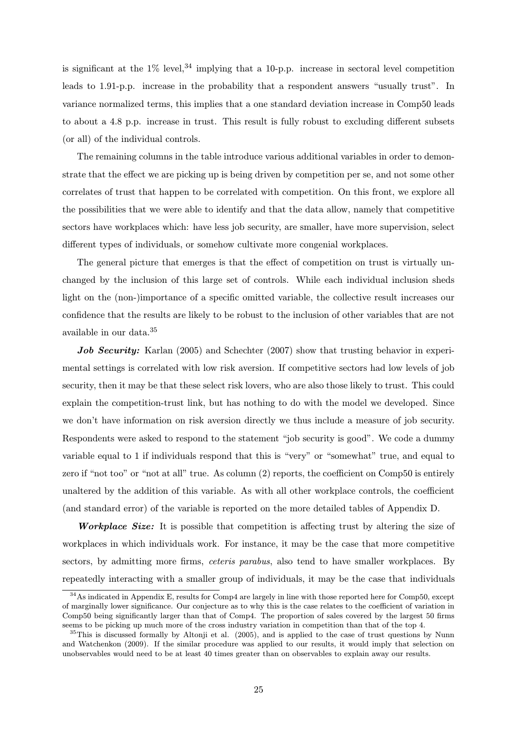is significant at the  $1\%$  level,<sup>34</sup> implying that a 10-p.p. increase in sectoral level competition leads to 1.91-p.p. increase in the probability that a respondent answers "usually trust". In variance normalized terms, this implies that a one standard deviation increase in Comp50 leads to about a 4.8 p.p. increase in trust. This result is fully robust to excluding different subsets (or all) of the individual controls.

The remaining columns in the table introduce various additional variables in order to demonstrate that the effect we are picking up is being driven by competition per se, and not some other correlates of trust that happen to be correlated with competition. On this front, we explore all the possibilities that we were able to identify and that the data allow, namely that competitive sectors have workplaces which: have less job security, are smaller, have more supervision, select different types of individuals, or somehow cultivate more congenial workplaces.

The general picture that emerges is that the effect of competition on trust is virtually unchanged by the inclusion of this large set of controls. While each individual inclusion sheds light on the (non-)importance of a specific omitted variable, the collective result increases our confidence that the results are likely to be robust to the inclusion of other variables that are not available in our data.<sup>35</sup>

Job Security: Karlan (2005) and Schechter (2007) show that trusting behavior in experimental settings is correlated with low risk aversion. If competitive sectors had low levels of job security, then it may be that these select risk lovers, who are also those likely to trust. This could explain the competition-trust link, but has nothing to do with the model we developed. Since we don't have information on risk aversion directly we thus include a measure of job security. Respondents were asked to respond to the statement "job security is good". We code a dummy variable equal to 1 if individuals respond that this is "very" or "somewhat" true, and equal to zero if "not too" or "not at all" true. As column (2) reports, the coefficient on Comp50 is entirely unaltered by the addition of this variable. As with all other workplace controls, the coefficient (and standard error) of the variable is reported on the more detailed tables of Appendix D.

Workplace Size: It is possible that competition is affecting trust by altering the size of workplaces in which individuals work. For instance, it may be the case that more competitive sectors, by admitting more firms, *ceteris parabus*, also tend to have smaller workplaces. By repeatedly interacting with a smaller group of individuals, it may be the case that individuals

<sup>34</sup>As indicated in Appendix E, results for Comp4 are largely in line with those reported here for Comp50, except of marginally lower significance. Our conjecture as to why this is the case relates to the coefficient of variation in Comp50 being significantly larger than that of Comp4. The proportion of sales covered by the largest 50 firms seems to be picking up much more of the cross industry variation in competition than that of the top 4.

 $35$ This is discussed formally by Altonji et al. (2005), and is applied to the case of trust questions by Nunn and Watchenkon (2009). If the similar procedure was applied to our results, it would imply that selection on unobservables would need to be at least 40 times greater than on observables to explain away our results.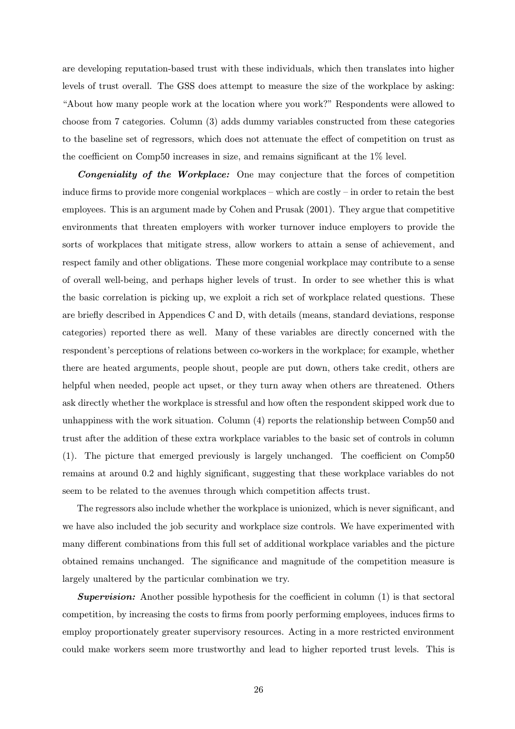are developing reputation-based trust with these individuals, which then translates into higher levels of trust overall. The GSS does attempt to measure the size of the workplace by asking: "About how many people work at the location where you work?" Respondents were allowed to choose from 7 categories. Column (3) adds dummy variables constructed from these categories to the baseline set of regressors, which does not attenuate the effect of competition on trust as the coefficient on Comp50 increases in size, and remains significant at the 1% level.

Congeniality of the Workplace: One may conjecture that the forces of competition induce firms to provide more congenial workplaces – which are costly – in order to retain the best employees. This is an argument made by Cohen and Prusak (2001). They argue that competitive environments that threaten employers with worker turnover induce employers to provide the sorts of workplaces that mitigate stress, allow workers to attain a sense of achievement, and respect family and other obligations. These more congenial workplace may contribute to a sense of overall well-being, and perhaps higher levels of trust. In order to see whether this is what the basic correlation is picking up, we exploit a rich set of workplace related questions. These are briefly described in Appendices C and D, with details (means, standard deviations, response categories) reported there as well. Many of these variables are directly concerned with the respondent's perceptions of relations between co-workers in the workplace; for example, whether there are heated arguments, people shout, people are put down, others take credit, others are helpful when needed, people act upset, or they turn away when others are threatened. Others ask directly whether the workplace is stressful and how often the respondent skipped work due to unhappiness with the work situation. Column (4) reports the relationship between Comp50 and trust after the addition of these extra workplace variables to the basic set of controls in column (1). The picture that emerged previously is largely unchanged. The coefficient on Comp50 remains at around 0.2 and highly significant, suggesting that these workplace variables do not seem to be related to the avenues through which competition affects trust.

The regressors also include whether the workplace is unionized, which is never significant, and we have also included the job security and workplace size controls. We have experimented with many different combinations from this full set of additional workplace variables and the picture obtained remains unchanged. The significance and magnitude of the competition measure is largely unaltered by the particular combination we try.

**Supervision:** Another possible hypothesis for the coefficient in column  $(1)$  is that sectoral competition, by increasing the costs to firms from poorly performing employees, induces firms to employ proportionately greater supervisory resources. Acting in a more restricted environment could make workers seem more trustworthy and lead to higher reported trust levels. This is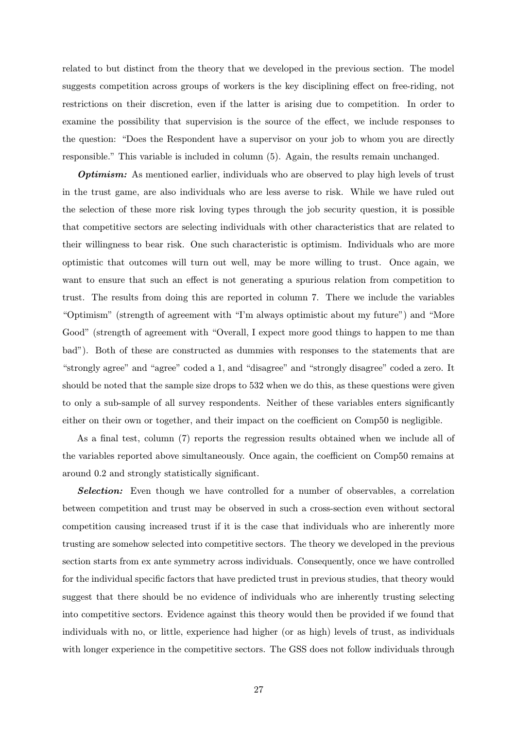related to but distinct from the theory that we developed in the previous section. The model suggests competition across groups of workers is the key disciplining effect on free-riding, not restrictions on their discretion, even if the latter is arising due to competition. In order to examine the possibility that supervision is the source of the effect, we include responses to the question: "Does the Respondent have a supervisor on your job to whom you are directly responsible." This variable is included in column (5). Again, the results remain unchanged.

**Optimism:** As mentioned earlier, individuals who are observed to play high levels of trust in the trust game, are also individuals who are less averse to risk. While we have ruled out the selection of these more risk loving types through the job security question, it is possible that competitive sectors are selecting individuals with other characteristics that are related to their willingness to bear risk. One such characteristic is optimism. Individuals who are more optimistic that outcomes will turn out well, may be more willing to trust. Once again, we want to ensure that such an effect is not generating a spurious relation from competition to trust. The results from doing this are reported in column 7. There we include the variables "Optimism" (strength of agreement with "I'm always optimistic about my future") and "More Good" (strength of agreement with "Overall, I expect more good things to happen to me than bad"). Both of these are constructed as dummies with responses to the statements that are "strongly agree" and "agree" coded a 1, and "disagree" and "strongly disagree" coded a zero. It should be noted that the sample size drops to 532 when we do this, as these questions were given to only a sub-sample of all survey respondents. Neither of these variables enters significantly either on their own or together, and their impact on the coefficient on Comp50 is negligible.

As a final test, column (7) reports the regression results obtained when we include all of the variables reported above simultaneously. Once again, the coefficient on Comp50 remains at around 0.2 and strongly statistically significant.

**Selection:** Even though we have controlled for a number of observables, a correlation between competition and trust may be observed in such a cross-section even without sectoral competition causing increased trust if it is the case that individuals who are inherently more trusting are somehow selected into competitive sectors. The theory we developed in the previous section starts from ex ante symmetry across individuals. Consequently, once we have controlled for the individual specific factors that have predicted trust in previous studies, that theory would suggest that there should be no evidence of individuals who are inherently trusting selecting into competitive sectors. Evidence against this theory would then be provided if we found that individuals with no, or little, experience had higher (or as high) levels of trust, as individuals with longer experience in the competitive sectors. The GSS does not follow individuals through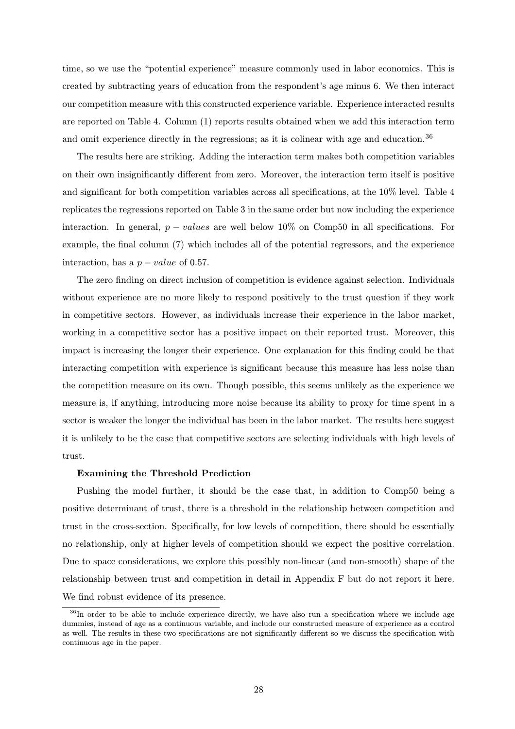time, so we use the "potential experience" measure commonly used in labor economics. This is created by subtracting years of education from the respondent's age minus 6. We then interact our competition measure with this constructed experience variable. Experience interacted results are reported on Table 4. Column (1) reports results obtained when we add this interaction term and omit experience directly in the regressions; as it is colinear with age and education.<sup>36</sup>

The results here are striking. Adding the interaction term makes both competition variables on their own insignificantly different from zero. Moreover, the interaction term itself is positive and significant for both competition variables across all specifications, at the 10% level. Table 4 replicates the regressions reported on Table 3 in the same order but now including the experience interaction. In general,  $p - values$  are well below 10% on Comp50 in all specifications. For example, the final column (7) which includes all of the potential regressors, and the experience interaction, has a  $p-value$  of 0.57.

The zero finding on direct inclusion of competition is evidence against selection. Individuals without experience are no more likely to respond positively to the trust question if they work in competitive sectors. However, as individuals increase their experience in the labor market, working in a competitive sector has a positive impact on their reported trust. Moreover, this impact is increasing the longer their experience. One explanation for this finding could be that interacting competition with experience is significant because this measure has less noise than the competition measure on its own. Though possible, this seems unlikely as the experience we measure is, if anything, introducing more noise because its ability to proxy for time spent in a sector is weaker the longer the individual has been in the labor market. The results here suggest it is unlikely to be the case that competitive sectors are selecting individuals with high levels of trust.

## Examining the Threshold Prediction

Pushing the model further, it should be the case that, in addition to Comp50 being a positive determinant of trust, there is a threshold in the relationship between competition and trust in the cross-section. Specifically, for low levels of competition, there should be essentially no relationship, only at higher levels of competition should we expect the positive correlation. Due to space considerations, we explore this possibly non-linear (and non-smooth) shape of the relationship between trust and competition in detail in Appendix F but do not report it here. We find robust evidence of its presence.

<sup>&</sup>lt;sup>36</sup>In order to be able to include experience directly, we have also run a specification where we include age dummies, instead of age as a continuous variable, and include our constructed measure of experience as a control as well. The results in these two specifications are not significantly different so we discuss the specification with continuous age in the paper.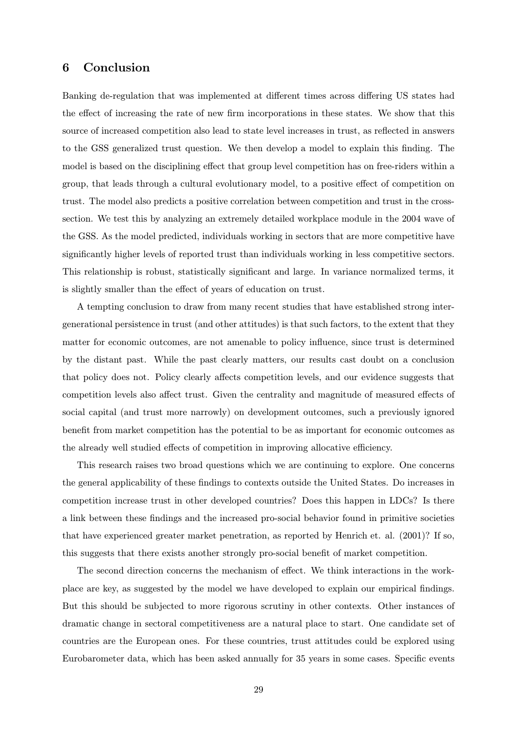## 6 Conclusion

Banking de-regulation that was implemented at different times across differing US states had the effect of increasing the rate of new firm incorporations in these states. We show that this source of increased competition also lead to state level increases in trust, as reflected in answers to the GSS generalized trust question. We then develop a model to explain this finding. The model is based on the disciplining effect that group level competition has on free-riders within a group, that leads through a cultural evolutionary model, to a positive effect of competition on trust. The model also predicts a positive correlation between competition and trust in the crosssection. We test this by analyzing an extremely detailed workplace module in the 2004 wave of the GSS. As the model predicted, individuals working in sectors that are more competitive have significantly higher levels of reported trust than individuals working in less competitive sectors. This relationship is robust, statistically significant and large. In variance normalized terms, it is slightly smaller than the effect of years of education on trust.

A tempting conclusion to draw from many recent studies that have established strong intergenerational persistence in trust (and other attitudes) is that such factors, to the extent that they matter for economic outcomes, are not amenable to policy influence, since trust is determined by the distant past. While the past clearly matters, our results cast doubt on a conclusion that policy does not. Policy clearly affects competition levels, and our evidence suggests that competition levels also affect trust. Given the centrality and magnitude of measured effects of social capital (and trust more narrowly) on development outcomes, such a previously ignored benefit from market competition has the potential to be as important for economic outcomes as the already well studied effects of competition in improving allocative efficiency.

This research raises two broad questions which we are continuing to explore. One concerns the general applicability of these findings to contexts outside the United States. Do increases in competition increase trust in other developed countries? Does this happen in LDCs? Is there a link between these findings and the increased pro-social behavior found in primitive societies that have experienced greater market penetration, as reported by Henrich et. al. (2001)? If so, this suggests that there exists another strongly pro-social benefit of market competition.

The second direction concerns the mechanism of effect. We think interactions in the workplace are key, as suggested by the model we have developed to explain our empirical findings. But this should be subjected to more rigorous scrutiny in other contexts. Other instances of dramatic change in sectoral competitiveness are a natural place to start. One candidate set of countries are the European ones. For these countries, trust attitudes could be explored using Eurobarometer data, which has been asked annually for 35 years in some cases. Specific events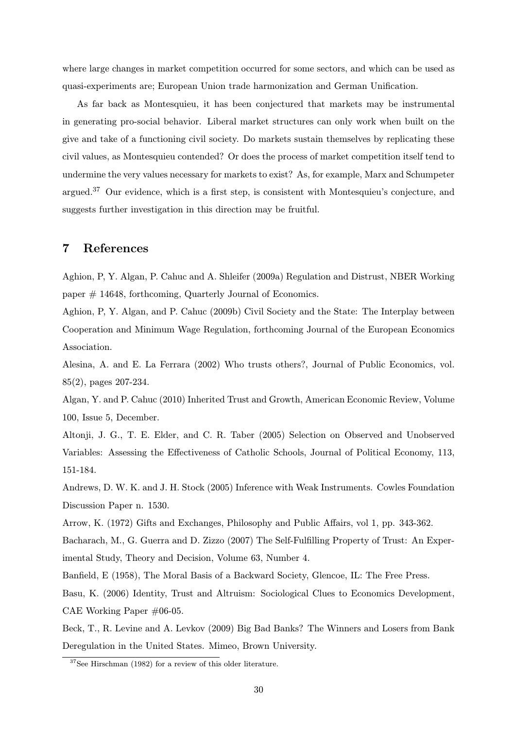where large changes in market competition occurred for some sectors, and which can be used as quasi-experiments are; European Union trade harmonization and German Unification.

As far back as Montesquieu, it has been conjectured that markets may be instrumental in generating pro-social behavior. Liberal market structures can only work when built on the give and take of a functioning civil society. Do markets sustain themselves by replicating these civil values, as Montesquieu contended? Or does the process of market competition itself tend to undermine the very values necessary for markets to exist? As, for example, Marx and Schumpeter argued.<sup>37</sup> Our evidence, which is a first step, is consistent with Montesquieu's conjecture, and suggests further investigation in this direction may be fruitful.

## 7 References

Aghion, P, Y. Algan, P. Cahuc and A. Shleifer (2009a) Regulation and Distrust, NBER Working paper # 14648, forthcoming, Quarterly Journal of Economics.

Aghion, P, Y. Algan, and P. Cahuc (2009b) Civil Society and the State: The Interplay between Cooperation and Minimum Wage Regulation, forthcoming Journal of the European Economics Association.

Alesina, A. and E. La Ferrara (2002) Who trusts others?, Journal of Public Economics, vol. 85(2), pages 207-234.

Algan, Y. and P. Cahuc (2010) Inherited Trust and Growth, American Economic Review, Volume 100, Issue 5, December.

Altonji, J. G., T. E. Elder, and C. R. Taber (2005) Selection on Observed and Unobserved Variables: Assessing the Effectiveness of Catholic Schools, Journal of Political Economy, 113, 151-184.

Andrews, D. W. K. and J. H. Stock (2005) Inference with Weak Instruments. Cowles Foundation Discussion Paper n. 1530.

Arrow, K. (1972) Gifts and Exchanges, Philosophy and Public Affairs, vol 1, pp. 343-362.

Bacharach, M., G. Guerra and D. Zizzo (2007) The Self-Fulfilling Property of Trust: An Experimental Study, Theory and Decision, Volume 63, Number 4.

Banfield, E (1958), The Moral Basis of a Backward Society, Glencoe, IL: The Free Press.

Basu, K. (2006) Identity, Trust and Altruism: Sociological Clues to Economics Development, CAE Working Paper #06-05.

Beck, T., R. Levine and A. Levkov (2009) Big Bad Banks? The Winners and Losers from Bank Deregulation in the United States. Mimeo, Brown University.

<sup>37</sup>See Hirschman (1982) for a review of this older literature.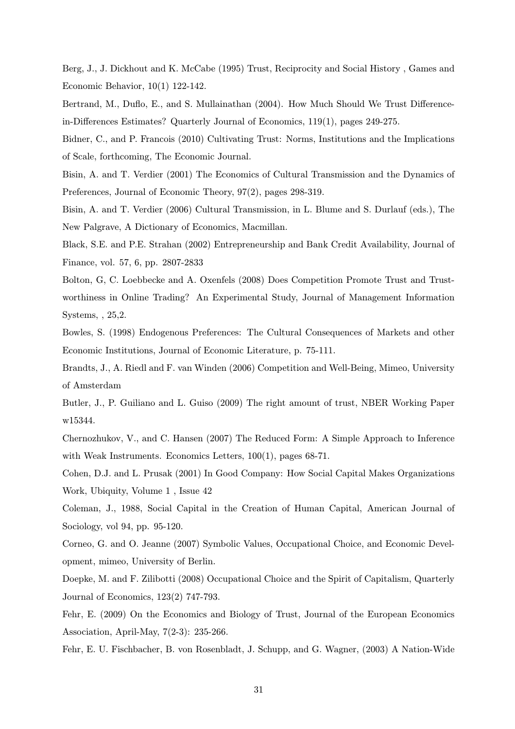Berg, J., J. Dickhout and K. McCabe (1995) Trust, Reciprocity and Social History , Games and Economic Behavior, 10(1) 122-142.

Bertrand, M., Duflo, E., and S. Mullainathan (2004). How Much Should We Trust Differencein-Differences Estimates? Quarterly Journal of Economics, 119(1), pages 249-275.

Bidner, C., and P. Francois (2010) Cultivating Trust: Norms, Institutions and the Implications of Scale, forthcoming, The Economic Journal.

Bisin, A. and T. Verdier (2001) The Economics of Cultural Transmission and the Dynamics of Preferences, Journal of Economic Theory, 97(2), pages 298-319.

Bisin, A. and T. Verdier (2006) Cultural Transmission, in L. Blume and S. Durlauf (eds.), The New Palgrave, A Dictionary of Economics, Macmillan.

Black, S.E. and P.E. Strahan (2002) Entrepreneurship and Bank Credit Availability, Journal of Finance, vol. 57, 6, pp. 2807-2833

Bolton, G, C. Loebbecke and A. Oxenfels (2008) Does Competition Promote Trust and Trustworthiness in Online Trading? An Experimental Study, Journal of Management Information Systems, , 25,2.

Bowles, S. (1998) Endogenous Preferences: The Cultural Consequences of Markets and other Economic Institutions, Journal of Economic Literature, p. 75-111.

Brandts, J., A. Riedl and F. van Winden (2006) Competition and Well-Being, Mimeo, University of Amsterdam

Butler, J., P. Guiliano and L. Guiso (2009) The right amount of trust, NBER Working Paper w15344.

Chernozhukov, V., and C. Hansen (2007) The Reduced Form: A Simple Approach to Inference with Weak Instruments. Economics Letters,  $100(1)$ , pages 68-71.

Cohen, D.J. and L. Prusak (2001) In Good Company: How Social Capital Makes Organizations Work, Ubiquity, Volume 1 , Issue 42

Coleman, J., 1988, Social Capital in the Creation of Human Capital, American Journal of Sociology, vol 94, pp. 95-120.

Corneo, G. and O. Jeanne (2007) Symbolic Values, Occupational Choice, and Economic Development, mimeo, University of Berlin.

Doepke, M. and F. Zilibotti (2008) Occupational Choice and the Spirit of Capitalism, Quarterly Journal of Economics, 123(2) 747-793.

Fehr, E. (2009) On the Economics and Biology of Trust, Journal of the European Economics Association, April-May, 7(2-3): 235-266.

Fehr, E. U. Fischbacher, B. von Rosenbladt, J. Schupp, and G. Wagner, (2003) A Nation-Wide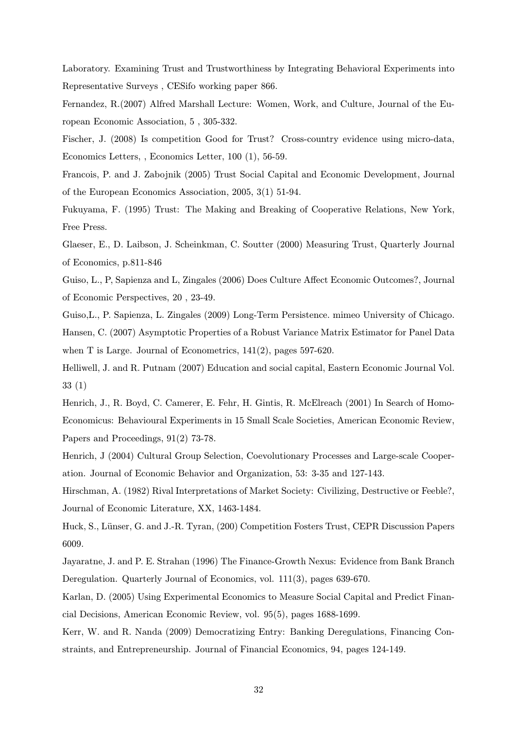Laboratory. Examining Trust and Trustworthiness by Integrating Behavioral Experiments into Representative Surveys , CESifo working paper 866.

Fernandez, R.(2007) Alfred Marshall Lecture: Women, Work, and Culture, Journal of the European Economic Association, 5 , 305-332.

Fischer, J. (2008) Is competition Good for Trust? Cross-country evidence using micro-data, Economics Letters, , Economics Letter, 100 (1), 56-59.

Francois, P. and J. Zabojnik (2005) Trust Social Capital and Economic Development, Journal of the European Economics Association, 2005, 3(1) 51-94.

Fukuyama, F. (1995) Trust: The Making and Breaking of Cooperative Relations, New York, Free Press.

Glaeser, E., D. Laibson, J. Scheinkman, C. Soutter (2000) Measuring Trust, Quarterly Journal of Economics, p.811-846

Guiso, L., P, Sapienza and L, Zingales (2006) Does Culture Affect Economic Outcomes?, Journal of Economic Perspectives, 20 , 23-49.

Guiso,L., P. Sapienza, L. Zingales (2009) Long-Term Persistence. mimeo University of Chicago. Hansen, C. (2007) Asymptotic Properties of a Robust Variance Matrix Estimator for Panel Data when T is Large. Journal of Econometrics, 141(2), pages 597-620.

Helliwell, J. and R. Putnam (2007) Education and social capital, Eastern Economic Journal Vol. 33 (1)

Henrich, J., R. Boyd, C. Camerer, E. Fehr, H. Gintis, R. McElreach (2001) In Search of Homo-Economicus: Behavioural Experiments in 15 Small Scale Societies, American Economic Review, Papers and Proceedings, 91(2) 73-78.

Henrich, J (2004) Cultural Group Selection, Coevolutionary Processes and Large-scale Cooperation. Journal of Economic Behavior and Organization, 53: 3-35 and 127-143.

Hirschman, A. (1982) Rival Interpretations of Market Society: Civilizing, Destructive or Feeble?, Journal of Economic Literature, XX, 1463-1484.

Huck, S., Lünser, G. and J.-R. Tyran, (200) Competition Fosters Trust, CEPR Discussion Papers 6009.

Jayaratne, J. and P. E. Strahan (1996) The Finance-Growth Nexus: Evidence from Bank Branch Deregulation. Quarterly Journal of Economics, vol. 111(3), pages 639-670.

Karlan, D. (2005) Using Experimental Economics to Measure Social Capital and Predict Financial Decisions, American Economic Review, vol. 95(5), pages 1688-1699.

Kerr, W. and R. Nanda (2009) Democratizing Entry: Banking Deregulations, Financing Constraints, and Entrepreneurship. Journal of Financial Economics, 94, pages 124-149.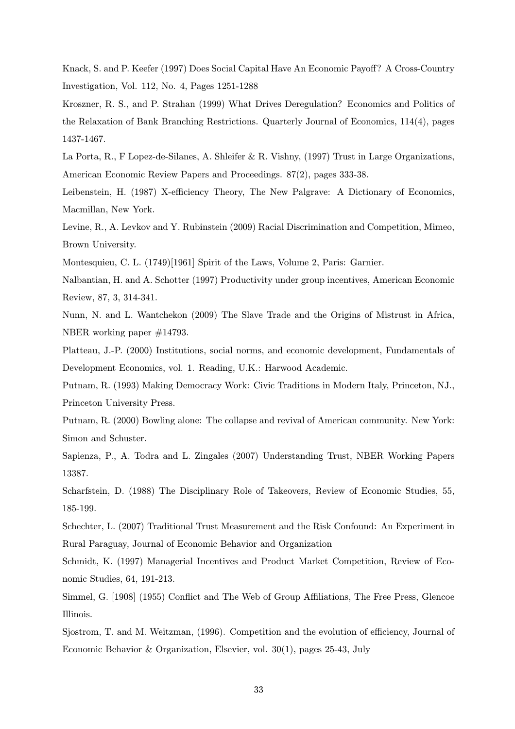Knack, S. and P. Keefer (1997) Does Social Capital Have An Economic Payoff? A Cross-Country Investigation, Vol. 112, No. 4, Pages 1251-1288

Kroszner, R. S., and P. Strahan (1999) What Drives Deregulation? Economics and Politics of the Relaxation of Bank Branching Restrictions. Quarterly Journal of Economics, 114(4), pages 1437-1467.

La Porta, R., F Lopez-de-Silanes, A. Shleifer & R. Vishny, (1997) Trust in Large Organizations, American Economic Review Papers and Proceedings. 87(2), pages 333-38.

Leibenstein, H. (1987) X-efficiency Theory, The New Palgrave: A Dictionary of Economics, Macmillan, New York.

Levine, R., A. Levkov and Y. Rubinstein (2009) Racial Discrimination and Competition, Mimeo, Brown University.

Montesquieu, C. L. (1749)[1961] Spirit of the Laws, Volume 2, Paris: Garnier.

Nalbantian, H. and A. Schotter (1997) Productivity under group incentives, American Economic Review, 87, 3, 314-341.

Nunn, N. and L. Wantchekon (2009) The Slave Trade and the Origins of Mistrust in Africa, NBER working paper #14793.

Platteau, J.-P. (2000) Institutions, social norms, and economic development, Fundamentals of Development Economics, vol. 1. Reading, U.K.: Harwood Academic.

Putnam, R. (1993) Making Democracy Work: Civic Traditions in Modern Italy, Princeton, NJ., Princeton University Press.

Putnam, R. (2000) Bowling alone: The collapse and revival of American community. New York: Simon and Schuster.

Sapienza, P., A. Todra and L. Zingales (2007) Understanding Trust, NBER Working Papers 13387.

Scharfstein, D. (1988) The Disciplinary Role of Takeovers, Review of Economic Studies, 55, 185-199.

Schechter, L. (2007) Traditional Trust Measurement and the Risk Confound: An Experiment in Rural Paraguay, Journal of Economic Behavior and Organization

Schmidt, K. (1997) Managerial Incentives and Product Market Competition, Review of Economic Studies, 64, 191-213.

Simmel, G. [1908] (1955) Conflict and The Web of Group Affiliations, The Free Press, Glencoe Illinois.

Sjostrom, T. and M. Weitzman, (1996). Competition and the evolution of efficiency, Journal of Economic Behavior & Organization, Elsevier, vol. 30(1), pages 25-43, July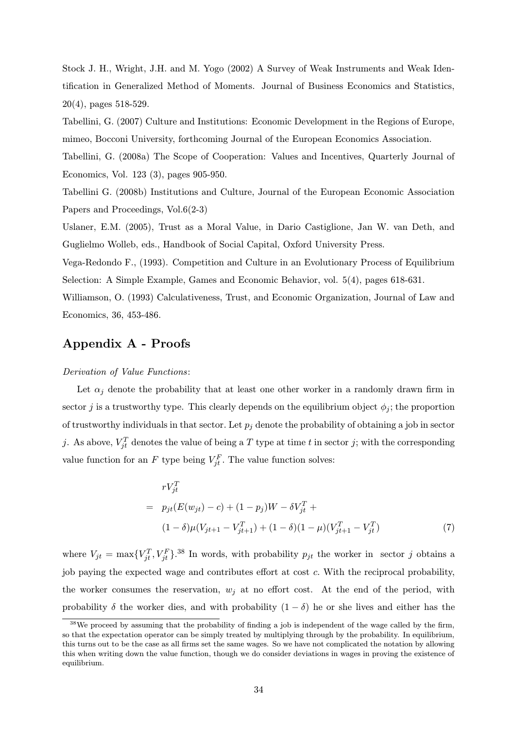Stock J. H., Wright, J.H. and M. Yogo (2002) A Survey of Weak Instruments and Weak Identification in Generalized Method of Moments. Journal of Business Economics and Statistics, 20(4), pages 518-529.

Tabellini, G. (2007) Culture and Institutions: Economic Development in the Regions of Europe, mimeo, Bocconi University, forthcoming Journal of the European Economics Association.

Tabellini, G. (2008a) The Scope of Cooperation: Values and Incentives, Quarterly Journal of Economics, Vol. 123 (3), pages 905-950.

Tabellini G. (2008b) Institutions and Culture, Journal of the European Economic Association Papers and Proceedings, Vol.6(2-3)

Uslaner, E.M. (2005), Trust as a Moral Value, in Dario Castiglione, Jan W. van Deth, and Guglielmo Wolleb, eds., Handbook of Social Capital, Oxford University Press.

Vega-Redondo F., (1993). Competition and Culture in an Evolutionary Process of Equilibrium Selection: A Simple Example, Games and Economic Behavior, vol. 5(4), pages 618-631.

Williamson, O. (1993) Calculativeness, Trust, and Economic Organization, Journal of Law and Economics, 36, 453-486.

# Appendix A - Proofs

## Derivation of Value Functions:

Let  $\alpha_i$  denote the probability that at least one other worker in a randomly drawn firm in sector j is a trustworthy type. This clearly depends on the equilibrium object  $\phi_i$ ; the proportion of trustworthy individuals in that sector. Let  $p_j$  denote the probability of obtaining a job in sector j. As above,  $V_{jt}^T$  denotes the value of being a T type at time t in sector j; with the corresponding value function for an F type being  $V_{jt}^F$ . The value function solves:

$$
rV_{jt}^{T}
$$
  
=  $p_{jt}(E(w_{jt}) - c) + (1 - p_j)W - \delta V_{jt}^{T} +$   

$$
(1 - \delta)\mu(V_{jt+1} - V_{jt+1}^{T}) + (1 - \delta)(1 - \mu)(V_{jt+1}^{T} - V_{jt}^{T})
$$
 (7)

where  $V_{jt} = \max\{V_{jt}^T, V_{jt}^F\}$ .<sup>38</sup> In words, with probability  $p_{jt}$  the worker in sector j obtains a job paying the expected wage and contributes effort at cost c. With the reciprocal probability, the worker consumes the reservation,  $w_i$  at no effort cost. At the end of the period, with probability  $\delta$  the worker dies, and with probability  $(1 - \delta)$  he or she lives and either has the

<sup>&</sup>lt;sup>38</sup>We proceed by assuming that the probability of finding a job is independent of the wage called by the firm, so that the expectation operator can be simply treated by multiplying through by the probability. In equilibrium, this turns out to be the case as all firms set the same wages. So we have not complicated the notation by allowing this when writing down the value function, though we do consider deviations in wages in proving the existence of equilibrium.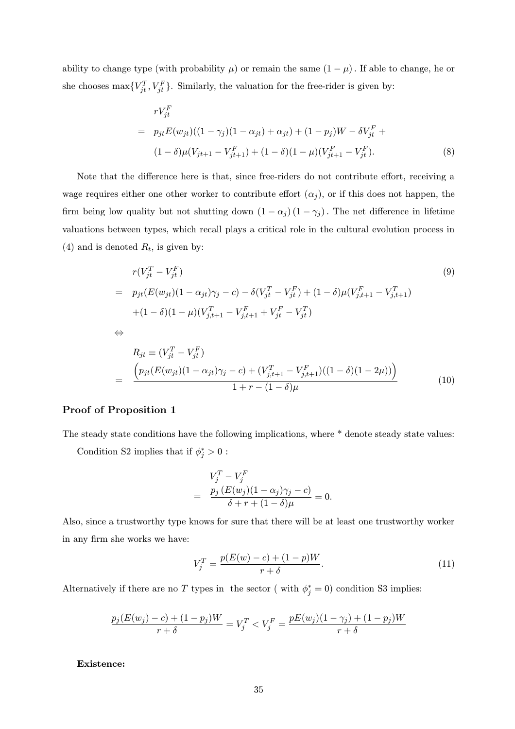ability to change type (with probability  $\mu$ ) or remain the same  $(1 - \mu)$ . If able to change, he or she chooses  $\max\{V_{jt}^T, V_{jt}^F\}$ . Similarly, the valuation for the free-rider is given by:

$$
rV_{jt}^{F}
$$
  
=  $p_{jt}E(w_{jt})((1 - \gamma_j)(1 - \alpha_{jt}) + \alpha_{jt}) + (1 - p_j)W - \delta V_{jt}^{F} + (1 - \delta)\mu(V_{jt+1} - V_{jt+1}^{F}) + (1 - \delta)(1 - \mu)(V_{jt+1}^{F} - V_{jt}^{F}).$  (8)

Note that the difference here is that, since free-riders do not contribute effort, receiving a wage requires either one other worker to contribute effort  $(\alpha_i)$ , or if this does not happen, the firm being low quality but not shutting down  $(1 - \alpha_j)(1 - \gamma_j)$ . The net difference in lifetime valuations between types, which recall plays a critical role in the cultural evolution process in (4) and is denoted  $R_t$ , is given by:

$$
r(V_{jt}^T - V_{jt}^F)
$$
  
=  $p_{jt}(E(w_{jt})(1 - \alpha_{jt})\gamma_j - c) - \delta(V_{jt}^T - V_{jt}^F) + (1 - \delta)\mu(V_{j,t+1}^F - V_{j,t+1}^T)$   
+ $(1 - \delta)(1 - \mu)(V_{j,t+1}^T - V_{j,t+1}^F + V_{jt}^F - V_{jt}^T)$   
 $\Leftrightarrow$  (9)  
 $\Delta$ 

$$
R_{jt} \equiv (V_{jt}^T - V_{jt}^F)
$$
  
= 
$$
\frac{\left(p_{jt}(E(w_{jt})(1 - \alpha_{jt})\gamma_j - c) + (V_{j,t+1}^T - V_{j,t+1}^F)((1 - \delta)(1 - 2\mu))\right)}{1 + r - (1 - \delta)\mu}
$$
 (10)

## Proof of Proposition 1

The steady state conditions have the following implications, where \* denote steady state values: Condition S2 implies that if  $\phi_j^* > 0$ :

$$
V_j^T - V_j^F
$$
  
= 
$$
\frac{p_j (E(w_j)(1 - \alpha_j)\gamma_j - c)}{\delta + r + (1 - \delta)\mu} = 0.
$$

Also, since a trustworthy type knows for sure that there will be at least one trustworthy worker in any firm she works we have:

$$
V_j^T = \frac{p(E(w) - c) + (1 - p)W}{r + \delta}.
$$
\n(11)

Alternatively if there are no T types in the sector (with  $\phi_j^* = 0$ ) condition S3 implies:

$$
\frac{p_j(E(w_j) - c) + (1 - p_j)W}{r + \delta} = V_j^T < V_j^F = \frac{pE(w_j)(1 - \gamma_j) + (1 - p_j)W}{r + \delta}
$$

Existence: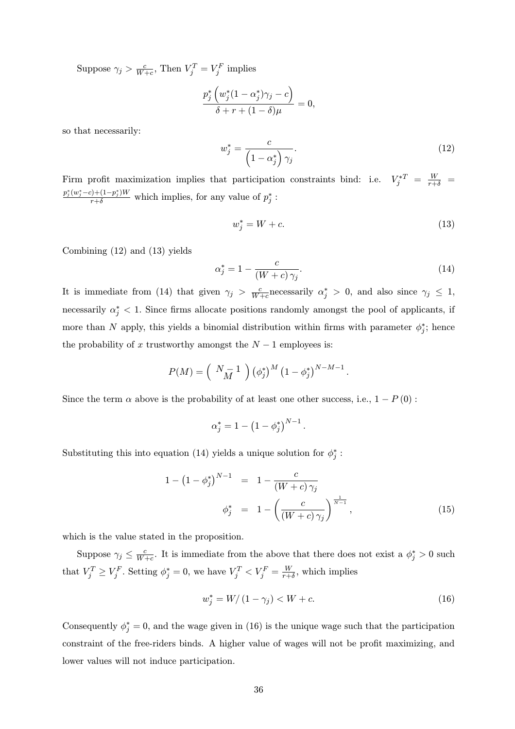Suppose  $\gamma_j > \frac{c}{W+c}$ , Then  $V_j^T = V_j^F$  implies

$$
\frac{p_j^*\left(w_j^*(1-\alpha_j^*)\gamma_j-c\right)}{\delta+r+(1-\delta)\mu}=0,
$$

so that necessarily:

$$
w_j^* = \frac{c}{\left(1 - \alpha_j^*\right) \gamma_j}.\tag{12}
$$

Firm profit maximization implies that participation constraints bind: i.e.  $V_j^{*T} = \frac{W}{r+\delta}$  $p_j^*(w_j^*-c)+(1-p_j^*)W \over r+\delta}$  which implies, for any value of  $p_j^*$ :

$$
w_j^* = W + c.\t\t(13)
$$

Combining (12) and (13) yields

$$
\alpha_j^* = 1 - \frac{c}{(W + c)\,\gamma_j}.\tag{14}
$$

It is immediate from (14) that given  $\gamma_j > \frac{c}{W+c}$  necessarily  $\alpha_j^* > 0$ , and also since  $\gamma_j \leq 1$ , necessarily  $\alpha_j^*$  < 1. Since firms allocate positions randomly amongst the pool of applicants, if more than N apply, this yields a binomial distribution within firms with parameter  $\phi_j^*$ ; hence the probability of x trustworthy amongst the  $N-1$  employees is:

$$
P(M) = \left(\begin{array}{c}N-1\\M\end{array}\right) \left(\phi_j^*\right)^M \left(1-\phi_j^*\right)^{N-M-1}.
$$

Since the term  $\alpha$  above is the probability of at least one other success, i.e.,  $1 - P(0)$ :

$$
\alpha_j^* = 1 - \left(1 - \phi_j^*\right)^{N-1}.
$$

Substituting this into equation (14) yields a unique solution for  $\phi_j^*$ :

$$
1 - (1 - \phi_j^*)^{N-1} = 1 - \frac{c}{(W + c)\gamma_j}
$$
  
\n
$$
\phi_j^* = 1 - \left(\frac{c}{(W + c)\gamma_j}\right)^{\frac{1}{N-1}},
$$
\n(15)

which is the value stated in the proposition.

Suppose  $\gamma_j \leq \frac{c}{W+c}$ . It is immediate from the above that there does not exist a  $\phi_j^* > 0$  such that  $V_j^T \ge V_j^F$ . Setting  $\phi_j^* = 0$ , we have  $V_j^T < V_j^F = \frac{W}{r+\delta}$ , which implies

$$
w_j^* = W/(1 - \gamma_j) < W + c. \tag{16}
$$

Consequently  $\phi_j^* = 0$ , and the wage given in (16) is the unique wage such that the participation constraint of the free-riders binds. A higher value of wages will not be profit maximizing, and lower values will not induce participation.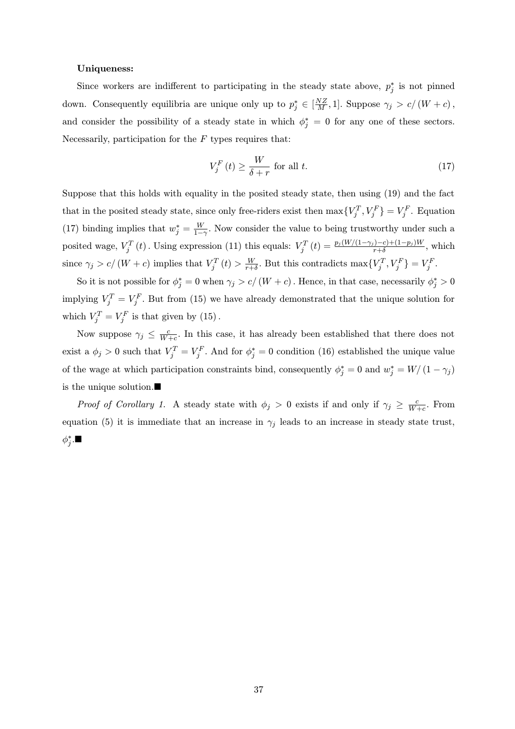#### Uniqueness:

Since workers are indifferent to participating in the steady state above,  $p_j^*$  is not pinned down. Consequently equilibria are unique only up to  $p_j^* \in \left[\frac{NZ}{M}, 1\right]$ . Suppose  $\gamma_j > c/(W+c)$ , and consider the possibility of a steady state in which  $\phi_j^* = 0$  for any one of these sectors. Necessarily, participation for the  $F$  types requires that:

$$
V_j^F(t) \ge \frac{W}{\delta + r} \text{ for all } t. \tag{17}
$$

Suppose that this holds with equality in the posited steady state, then using (19) and the fact that in the posited steady state, since only free-riders exist then  $\max\{V_j^T, V_j^F\} = V_j^F$ . Equation (17) binding implies that  $w_j^* = \frac{W}{1-\gamma}$ . Now consider the value to being trustworthy under such a posited wage,  $V_j^T(t)$ . Using expression (11) this equals:  $V_j^T(t) = \frac{p_j(W/(1-\gamma_j)-c)+(1-p_j)W}{r+\delta}$ , which since  $\gamma_j > c/(W+c)$  implies that  $V_j^T(t) > \frac{W}{r+\delta}$ . But this contradicts  $\max\{V_j^T, V_j^F\} = V_j^F$ .

So it is not possible for  $\phi_j^* = 0$  when  $\gamma_j > c/(W + c)$ . Hence, in that case, necessarily  $\phi_j^* > 0$ implying  $V_j^T = V_j^F$ . But from (15) we have already demonstrated that the unique solution for which  $V_j^T = V_j^F$  is that given by (15).

Now suppose  $\gamma_j \leq \frac{c}{W+c}$ . In this case, it has already been established that there does not exist a  $\phi_j > 0$  such that  $V_j^T = V_j^F$ . And for  $\phi_j^* = 0$  condition (16) established the unique value of the wage at which participation constraints bind, consequently  $\phi_j^* = 0$  and  $w_j^* = W/(1 - \gamma_j)$ is the unique solution.<br> $\blacksquare$ 

*Proof of Corollary 1.* A steady state with  $\phi_j > 0$  exists if and only if  $\gamma_j \geq \frac{c}{W+c}$ . From equation (5) it is immediate that an increase in  $\gamma_j$  leads to an increase in steady state trust,  $\phi_j^*.$   $\blacksquare$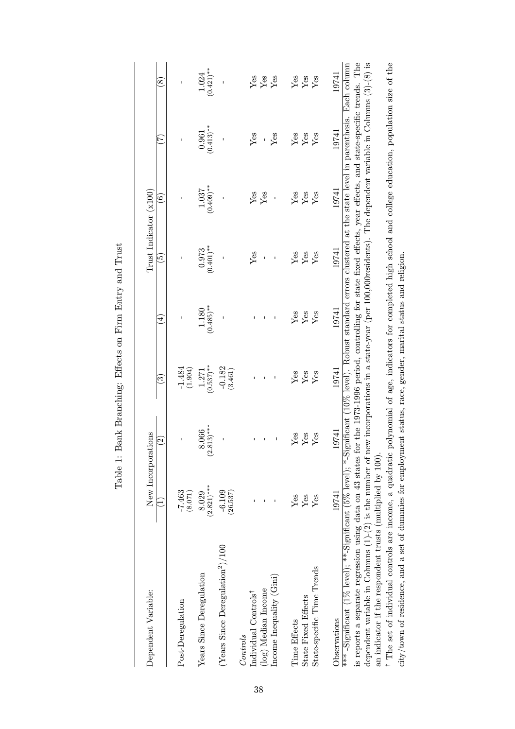| Dependent Variable:                                                                                                                                                                                                                                                                                                                                                                                                                                             |                       | New Incorporations                             |                       |                       | Trust Indicator (x100)                                                                                      |                       |                           |                         |
|-----------------------------------------------------------------------------------------------------------------------------------------------------------------------------------------------------------------------------------------------------------------------------------------------------------------------------------------------------------------------------------------------------------------------------------------------------------------|-----------------------|------------------------------------------------|-----------------------|-----------------------|-------------------------------------------------------------------------------------------------------------|-----------------------|---------------------------|-------------------------|
|                                                                                                                                                                                                                                                                                                                                                                                                                                                                 | Ξ                     | $\widehat{\Omega}$                             | ତି                    | $\widehat{\Xi}$       | $\tilde{6}$                                                                                                 | $\widehat{\circ}$     | $\widetilde{\mathcal{L}}$ | $\circledast$           |
| Post-Deregulation                                                                                                                                                                                                                                                                                                                                                                                                                                               | (1208)                | ı                                              | $-1.484$<br>(1.904)   |                       |                                                                                                             | I                     | $\mathbf{I}$              | $\mathbf{I}$            |
| Years Since Deregulation                                                                                                                                                                                                                                                                                                                                                                                                                                        | $(2.821)***$<br>8.029 | $.813)***$<br>8.066<br>$\widehat{\mathcal{G}}$ | $(0.537)$ **<br>1.271 | $(0.485)$ **<br>1.180 | $(0.401)$ **<br>0.973                                                                                       | $(0.409)$ **<br>1.037 | $(0.413)$ **<br>0.961     | $(0.421)$ **<br>1.024   |
| (Years Since Deregulation <sup>2</sup> )/100                                                                                                                                                                                                                                                                                                                                                                                                                    | $-6.109$<br>(26.537)  |                                                | $-0.182$<br>(3.461)   |                       |                                                                                                             |                       |                           |                         |
| Individual Controls <sup>†</sup><br>Controls                                                                                                                                                                                                                                                                                                                                                                                                                    |                       |                                                |                       |                       | Yes                                                                                                         | Yes                   | Yes                       | Yes                     |
| (log) Median Income                                                                                                                                                                                                                                                                                                                                                                                                                                             |                       | $\mathbf{I}$                                   |                       |                       | $\mathbf{I}$                                                                                                | Yes                   |                           | $\mathbf{Y}\mathbf{es}$ |
| Income Inequality (Gini)                                                                                                                                                                                                                                                                                                                                                                                                                                        |                       |                                                |                       |                       | ı                                                                                                           | $\mathbf{I}$          | Yes                       | Yes                     |
| Time Effects                                                                                                                                                                                                                                                                                                                                                                                                                                                    | Yes                   | Yes                                            | Yes                   | Yes                   | Yes                                                                                                         | Yes                   | $\rm Yes$                 |                         |
| <b>State Fixed Effects</b>                                                                                                                                                                                                                                                                                                                                                                                                                                      | ${\rm Yes}$           | Yes                                            | ${\rm Yes}$           | ${\rm Yes}$           | $\mathbf{Yes}$                                                                                              | $\mathbf{Yes}$        | ${\rm Yes}$               | $_{\rm Yes}^{\rm Yes}$  |
| State-specific Time Trends                                                                                                                                                                                                                                                                                                                                                                                                                                      | Yes                   | Yes                                            | Yes                   | Yes                   | Yes                                                                                                         | Yes                   | Yes                       | Yes                     |
| Observations                                                                                                                                                                                                                                                                                                                                                                                                                                                    | 19741                 | 19741                                          | 19741                 | 19741                 | 19741                                                                                                       | 19741                 | 19741                     | 19741                   |
| dependent variable in Columns (1)-(2) is the number of new incorporations in a state-year (per 100,000residents). The dependent variable in Columns (3)-(8) is<br>***-Significant (1% level); **-Significant (5% level); *-Significant (10% level). Robust standard errors clustered at the state level in parenthesis. Each column<br>an indicator if the respondent trusts (multiplied by 100).<br>is reports a separate regression using data on 43 states : |                       |                                                |                       |                       | for the 1973-1996 period, controlling for state fixed effects, year effects, and state-specific trends. The |                       |                           |                         |
| <sup>†</sup> The set of individual controls are income, a quadratic                                                                                                                                                                                                                                                                                                                                                                                             |                       |                                                |                       |                       | polynomial of age, indicators for completed high school and college education, population size of the       |                       |                           |                         |
| city/town of residence, and a set of dummies for employment status, race, gender, marital status and religion.                                                                                                                                                                                                                                                                                                                                                  |                       |                                                |                       |                       |                                                                                                             |                       |                           |                         |

| )<br> <br> <br>I                                    |
|-----------------------------------------------------|
| i<br>į                                              |
|                                                     |
| $\frac{1}{4}$<br>j                                  |
| ļ                                                   |
| <b>SCCT CHCCT</b><br>i                              |
| $\begin{array}{c} \mathbf{1} \end{array}$<br>١<br>ļ |
| l<br>i<br>$\frac{1}{4}$                             |
|                                                     |
| l<br>١                                              |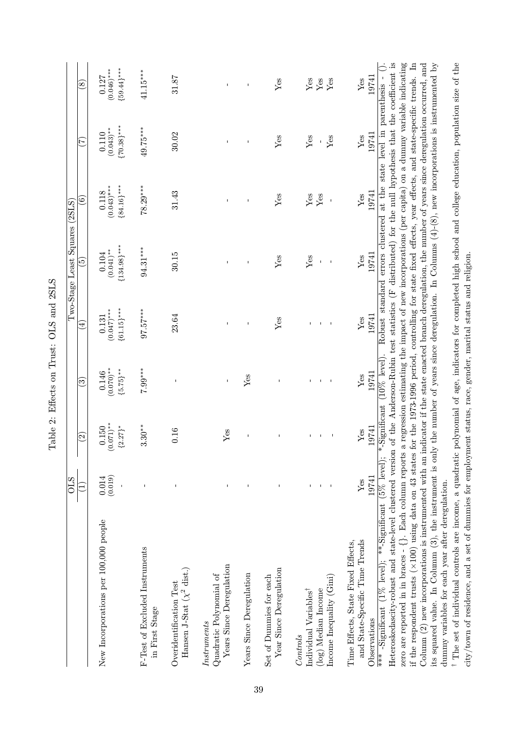|                                                                                                                                                                                                                                                                                                                                                                                                                                                                                                                                                                                                                                                                                                                                                                                                                                                                                                                                     | ОLS              |                                                         |                                        |                                         | Two-Stage Least Squares (2SLS)                                                                                                                                                                                                                                                        |                                         |                                        |                                         |
|-------------------------------------------------------------------------------------------------------------------------------------------------------------------------------------------------------------------------------------------------------------------------------------------------------------------------------------------------------------------------------------------------------------------------------------------------------------------------------------------------------------------------------------------------------------------------------------------------------------------------------------------------------------------------------------------------------------------------------------------------------------------------------------------------------------------------------------------------------------------------------------------------------------------------------------|------------------|---------------------------------------------------------|----------------------------------------|-----------------------------------------|---------------------------------------------------------------------------------------------------------------------------------------------------------------------------------------------------------------------------------------------------------------------------------------|-----------------------------------------|----------------------------------------|-----------------------------------------|
|                                                                                                                                                                                                                                                                                                                                                                                                                                                                                                                                                                                                                                                                                                                                                                                                                                                                                                                                     | Ξ                | $\widehat{\infty}$                                      | ව                                      | $\overline{4}$                          | <u>ය</u>                                                                                                                                                                                                                                                                              | $\widehat{\circ}$                       | C)                                     | $\circled{s}$                           |
| New Incorporations per 100,000 people                                                                                                                                                                                                                                                                                                                                                                                                                                                                                                                                                                                                                                                                                                                                                                                                                                                                                               | (0.019)<br>0.014 | $(0.071)$ **<br>$[2.27]$ *<br>0.150                     | $(0.070)**$<br>${5.75}^{***}$<br>0.146 | ${61.15}$ ***<br>$(0.047)$ ***<br>0.131 | ${134.98}$ ***<br>$(0.041)$ **<br>$0.104\,$                                                                                                                                                                                                                                           | ${84.16}$ ***<br>$(0.043)$ ***<br>0.118 | ${70.38}$ ***<br>$(0.043)$ **<br>0.110 | ${59.44}$ ***<br>$(0.046)$ ***<br>0.127 |
| F-Test of Excluded Instruments<br>in First Stage                                                                                                                                                                                                                                                                                                                                                                                                                                                                                                                                                                                                                                                                                                                                                                                                                                                                                    |                  | $3.30**$                                                | $7.99***$                              | $97.57***$                              | $94.31***$                                                                                                                                                                                                                                                                            | $78.29***$                              | 49.75****                              | $41.15***$                              |
| Hansen J-Stat $(\chi^2$ dist.)<br>Overidentification Test                                                                                                                                                                                                                                                                                                                                                                                                                                                                                                                                                                                                                                                                                                                                                                                                                                                                           |                  | 0.16                                                    | I                                      | 23.64                                   | 30.15                                                                                                                                                                                                                                                                                 | 31.43                                   | 30.02                                  | 31.87                                   |
| Years Since Deregulation<br>Quadratic Polynomial of<br>Instruments                                                                                                                                                                                                                                                                                                                                                                                                                                                                                                                                                                                                                                                                                                                                                                                                                                                                  |                  | $Y$ es                                                  | $\mathbf I$                            | $\mathbf{I}$                            |                                                                                                                                                                                                                                                                                       |                                         |                                        | $\mathbf{I}$                            |
| Years Since Deregulation                                                                                                                                                                                                                                                                                                                                                                                                                                                                                                                                                                                                                                                                                                                                                                                                                                                                                                            |                  | Ï                                                       | Yes                                    |                                         |                                                                                                                                                                                                                                                                                       |                                         |                                        | I                                       |
| Year Since Deregulation<br>Set of Dummies for each                                                                                                                                                                                                                                                                                                                                                                                                                                                                                                                                                                                                                                                                                                                                                                                                                                                                                  |                  | J.                                                      |                                        | $Y$ es                                  | $Y$ es                                                                                                                                                                                                                                                                                | Yes                                     | $Y$ es                                 | Yes                                     |
| Income Inequality (Gini)<br>Individual Variables <sup>†</sup><br>(log) Median Income<br>Controls                                                                                                                                                                                                                                                                                                                                                                                                                                                                                                                                                                                                                                                                                                                                                                                                                                    |                  | $\overline{\phantom{a}}$<br>$\mathbf{L}$<br>$\mathbf I$ | $\blacksquare$                         | I.<br>$\blacksquare$                    | Yes<br>$\mathbf I$                                                                                                                                                                                                                                                                    | Yes<br>Yes<br>$\mathbf I$               | Yes<br>Yes<br>$\mathsf I$              | Yes<br>${\rm Yes}$<br>Yes               |
| and State-Specific Time Trends<br>Time Effects, State Fixed Effects,<br>Observations                                                                                                                                                                                                                                                                                                                                                                                                                                                                                                                                                                                                                                                                                                                                                                                                                                                | 19741<br>Yes     | 19741<br>Yes                                            | 19741<br>Yes                           | 19741<br>Yes                            | 19741<br>Yes                                                                                                                                                                                                                                                                          | 19741<br>$Y_{\text{ess}}$               | 19741<br>Yes                           | 19741<br>Yes                            |
| zero are reported in in braces - {}. Each column reports a regression estimating the impact of new incorporations (per capita) on a dummy variable indicating<br><sup>†</sup> The set of individual controls are income, a quadratic polynomial of age, indicators for completed high school and college education, population size of the<br>Column $(2)$ new incorporations is instrumented with an indicator if the state enacted branch deregulation, the number of years since deregulation occurred, and<br>if the respondent trusts ( $\times$ 100) using data on 43 states for the 1973-1996 period, controlling for state fixed effects, year effects, and state-specific trends.<br>its squared value. In Columm (3), the instrument is only<br>Heteroskedascity-robust and state-level clustered version<br>*** -Significant (1% level); **-Significant (5% level);<br>dummy variables for each year after deregulation. |                  |                                                         | $*$ -Significant (10% level).          |                                         | of the Anderson-Rubin test statistics (F distributed) for the null hypothesis that the coefficient is<br>the number of years since deregulation. In Columns $(4)-(8)$ , new incorporations is instrumented by<br>Robust standard errors clustered at the state level in parenthesis - |                                         |                                        | $\mathbb{H}$                            |

city/town of residence, and a set of dummies for employment status, race, gender, marital status and religion.

city/town of residence, and a set of dummies for employment status, race, gender, marital status and religion.

Table 2: Effects on Trust: OLS and 2SLS Table 2: Effects on Trust: OLS and 2SLS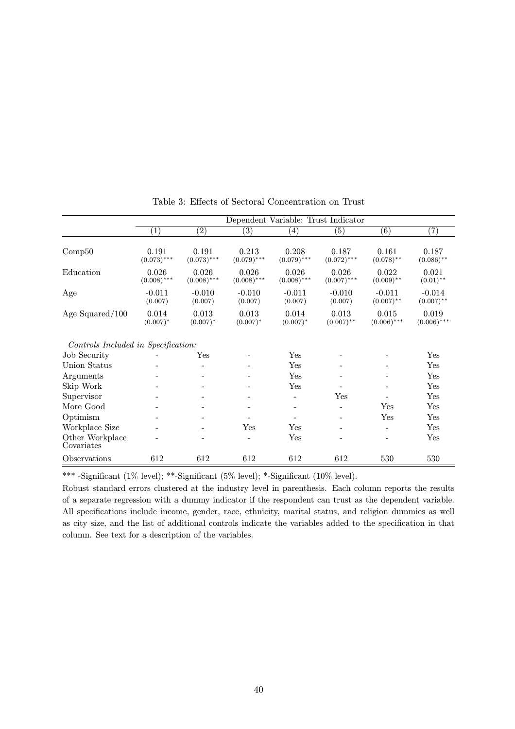|                                     |                                         |                                         |                                         | Dependent Variable: Trust Indicator     |                                         |                                       |                                      |
|-------------------------------------|-----------------------------------------|-----------------------------------------|-----------------------------------------|-----------------------------------------|-----------------------------------------|---------------------------------------|--------------------------------------|
|                                     | $\overline{(1)}$                        | $\overline{(2)}$                        | $\left( 3\right)$                       | $\left( 4\right)$                       | (5)                                     | $\overline{(6)}$                      | $\overline{(7)}$                     |
| Comp50                              | 0.191                                   | 0.191                                   | 0.213                                   | 0.208                                   | 0.187                                   | 0.161                                 | 0.187                                |
| Education                           | $(0.073)$ ***<br>0.026<br>$(0.008)$ *** | $(0.073)$ ***<br>0.026<br>$(0.008)$ *** | $(0.079)$ ***<br>0.026<br>$(0.008)$ *** | $(0.079)$ ***<br>0.026<br>$(0.008)$ *** | $(0.072)$ ***<br>0.026<br>$(0.007)$ *** | $(0.078)$ **<br>0.022<br>$(0.009)$ ** | $(0.086)$ **<br>0.021<br>$(0.01)$ ** |
| Age                                 | $-0.011$<br>(0.007)                     | $-0.010$<br>(0.007)                     | $-0.010$<br>(0.007)                     | $-0.011$<br>(0.007)                     | $-0.010$<br>(0.007)                     | $-0.011$<br>$(0.007)$ **              | $-0.014$<br>$(0.007)$ **             |
| Age Squared/100                     | 0.014<br>$(0.007)^*$                    | 0.013<br>$(0.007)^*$                    | 0.013<br>$(0.007)^*$                    | 0.014<br>$(0.007)^*$                    | 0.013<br>$(0.007)$ **                   | 0.015<br>$(0.006)$ ***                | 0.019<br>$(0.006)$ ***               |
| Controls Included in Specification: |                                         |                                         |                                         |                                         |                                         |                                       |                                      |
| Job Security                        |                                         | $_{\rm Yes}$                            |                                         | Yes                                     |                                         |                                       | Yes                                  |
| Union Status                        |                                         |                                         |                                         | $_{\rm Yes}$                            |                                         |                                       | Yes                                  |
| Arguments                           |                                         |                                         |                                         | Yes                                     |                                         |                                       | Yes                                  |
| Skip Work                           |                                         |                                         |                                         | Yes                                     |                                         |                                       | Yes                                  |
| Supervisor                          |                                         |                                         |                                         | -                                       | Yes                                     |                                       | Yes                                  |
| More Good                           |                                         |                                         |                                         | -                                       |                                         | Yes                                   | Yes                                  |
| Optimism                            |                                         |                                         |                                         | -                                       |                                         | Yes                                   | Yes                                  |
| Workplace Size                      |                                         |                                         | Yes                                     | $_{\rm Yes}$                            |                                         | -                                     | Yes                                  |
| Other Workplace<br>Covariates       |                                         |                                         | $\overline{\phantom{a}}$                | Yes                                     | $\overline{\phantom{0}}$                |                                       | Yes                                  |
| Observations                        | 612                                     | 612                                     | 612                                     | 612                                     | 612                                     | 530                                   | 530                                  |

Table 3: Effects of Sectoral Concentration on Trust

\*\*\* -Significant (1% level); \*\*-Significant (5% level); \*-Significant (10% level).

Robust standard errors clustered at the industry level in parenthesis. Each column reports the results of a separate regression with a dummy indicator if the respondent can trust as the dependent variable. All specifications include income, gender, race, ethnicity, marital status, and religion dummies as well as city size, and the list of additional controls indicate the variables added to the specification in that column. See text for a description of the variables.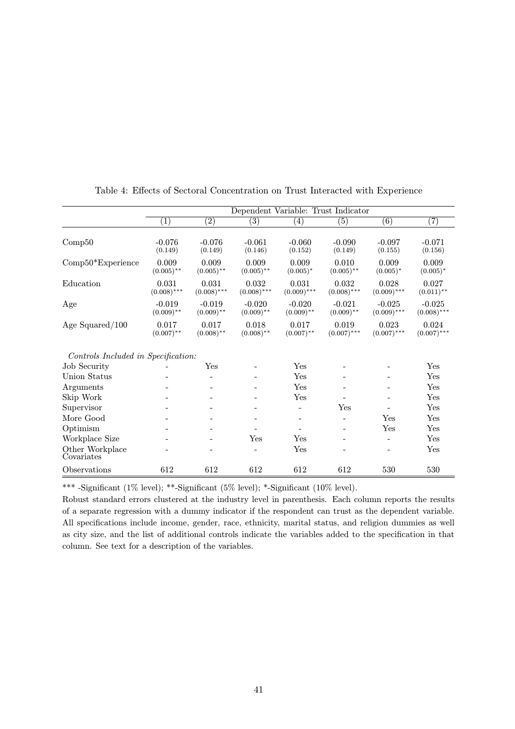|                                     |                          |                          | Dependent Variable: Trust Indicator |                          |                          |                           |                           |
|-------------------------------------|--------------------------|--------------------------|-------------------------------------|--------------------------|--------------------------|---------------------------|---------------------------|
|                                     | $\overline{(1)}$         | $\overline{(2)}$         | $\left( 3\right)$                   | $\left( 4\right)$        | $\left( 5\right)$        | $\overline{(6)}$          | $\overline{(7)}$          |
| Comp50                              | $-0.076$<br>(0.149)      | $-0.076$<br>(0.149)      | $-0.061$<br>(0.146)                 | $-0.060$<br>(0.152)      | $-0.090$<br>(0.149)      | $-0.097$<br>(0.155)       | $-0.071$<br>(0.156)       |
| $Comp50*Experience$                 | 0.009<br>$(0.005)$ **    | 0.009<br>$(0.005)$ **    | 0.009<br>$(0.005)$ **               | 0.009<br>$(0.005)^*$     | 0.010<br>$(0.005)$ **    | 0.009<br>$(0.005)*$       | 0.009<br>$(0.005)^*$      |
| Education                           | 0.031<br>$(0.008)$ ***   | 0.031<br>$(0.008)$ ***   | 0.032<br>$(0.008)$ ***              | 0.031<br>$(0.009)$ ***   | 0.032<br>$(0.008)$ ***   | 0.028<br>$(0.009)$ ***    | 0.027<br>$(0.011)$ **     |
| Age                                 | $-0.019$<br>$(0.009)$ ** | $-0.019$<br>$(0.009)$ ** | $-0.020$<br>$(0.009)$ **            | $-0.020$<br>$(0.009)$ ** | $-0.021$<br>$(0.009)$ ** | $-0.025$<br>$(0.009)$ *** | $-0.025$<br>$(0.008)$ *** |
| Age Squared/100                     | 0.017<br>$(0.007)$ **    | 0.017<br>$(0.008)$ **    | 0.018<br>$(0.008)$ **               | 0.017<br>$(0.007)$ **    | 0.019<br>$(0.007)$ ***   | 0.023<br>$(0.007)$ ***    | 0.024<br>$(0.007)$ ***    |
| Controls Included in Specification: |                          |                          |                                     |                          |                          |                           |                           |
| <b>Job Security</b>                 |                          | Yes                      |                                     | Yes                      |                          |                           | Yes                       |
| Union Status                        |                          |                          |                                     | Yes                      |                          |                           | Yes                       |
| Arguments                           |                          |                          |                                     | Yes                      |                          |                           | Yes                       |
| Skip Work                           |                          | -                        |                                     | Yes                      |                          |                           | Yes                       |
| Supervisor                          |                          |                          |                                     |                          | Yes                      |                           | Yes                       |
| More Good                           |                          |                          |                                     |                          |                          | Yes                       | Yes                       |
| Optimism                            |                          |                          |                                     |                          |                          | Yes                       | Yes                       |
| Workplace Size                      |                          |                          | Yes                                 | Yes                      |                          |                           | Yes                       |
| Other Workplace<br>Covariates       |                          |                          |                                     | Yes                      |                          |                           | Yes                       |
| Observations                        | 612                      | 612                      | 612                                 | 612                      | 612                      | 530                       | 530                       |

Table 4: Effects of Sectoral Concentration on Trust Interacted with Experience

\*\*\* -Significant (1% level); \*\*-Significant (5% level); \*-Significant (10% level).

Robust standard errors clustered at the industry level in parenthesis. Each column reports the results of a separate regression with a dummy indicator if the respondent can trust as the dependent variable. All specifications include income, gender, race, ethnicity, marital status, and religion dummies as well as city size, and the list of additional controls indicate the variables added to the specification in that column. See text for a description of the variables.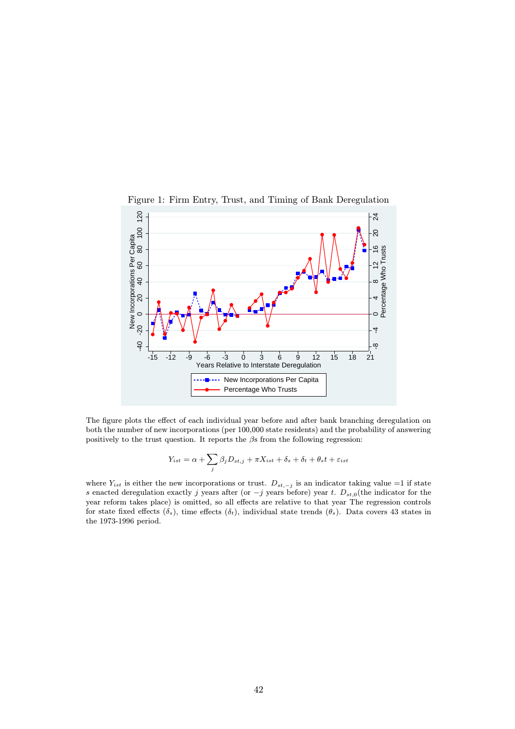

Figure 1: Firm Entry, Trust, and Timing of Bank Deregulation

The figure plots the effect of each individual year before and after bank branching deregulation on both the number of new incorporations (per 100,000 state residents) and the probability of answering positively to the trust question. It reports the  $\beta$ s from the following regression:

$$
Y_{ist} = \alpha + \sum_{j} \beta_{j} D_{st,j} + \pi X_{ist} + \delta_{s} + \delta_{t} + \theta_{s}t + \varepsilon_{ist}
$$

where  $Y_{ist}$  is either the new incorporations or trust.  $D_{st,-j}$  is an indicator taking value =1 if state s enacted deregulation exactly j years after (or  $-j$  years before) year t.  $D_{st,0}$ (the indicator for the year reform takes place) is omitted, so all effects are relative to that year The regression controls for state fixed effects  $(\delta_s)$ , time effects  $(\delta_t)$ , individual state trends  $(\theta_s)$ . Data covers 43 states in the 1973-1996 period.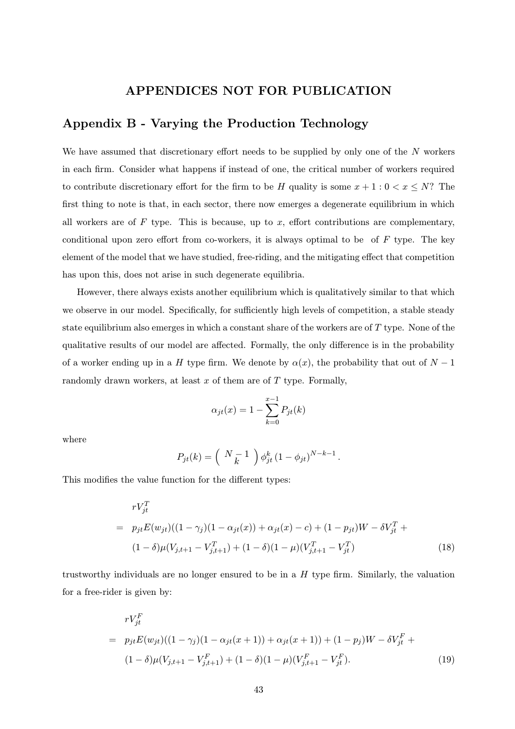# APPENDICES NOT FOR PUBLICATION

# Appendix B - Varying the Production Technology

We have assumed that discretionary effort needs to be supplied by only one of the  $N$  workers in each firm. Consider what happens if instead of one, the critical number of workers required to contribute discretionary effort for the firm to be H quality is some  $x + 1 : 0 < x \leq N$ ? The first thing to note is that, in each sector, there now emerges a degenerate equilibrium in which all workers are of  $F$  type. This is because, up to  $x$ , effort contributions are complementary, conditional upon zero effort from co-workers, it is always optimal to be of  $F$  type. The key element of the model that we have studied, free-riding, and the mitigating effect that competition has upon this, does not arise in such degenerate equilibria.

However, there always exists another equilibrium which is qualitatively similar to that which we observe in our model. Specifically, for sufficiently high levels of competition, a stable steady state equilibrium also emerges in which a constant share of the workers are of  $T$  type. None of the qualitative results of our model are affected. Formally, the only difference is in the probability of a worker ending up in a H type firm. We denote by  $\alpha(x)$ , the probability that out of  $N-1$ randomly drawn workers, at least  $x$  of them are of  $T$  type. Formally,

$$
\alpha_{jt}(x) = 1 - \sum_{k=0}^{x-1} P_{jt}(k)
$$

where

$$
P_{jt}(k) = \left( \begin{array}{c} N-1 \\ k \end{array} \right) \phi_{jt}^{k} (1 - \phi_{jt})^{N-k-1}.
$$

This modifies the value function for the different types:

$$
rV_{jt}^{T}
$$
\n
$$
= p_{jt}E(w_{jt})((1 - \gamma_j)(1 - \alpha_{jt}(x)) + \alpha_{jt}(x) - c) + (1 - p_{jt})W - \delta V_{jt}^{T} + (1 - \delta)\mu(V_{j,t+1} - V_{j,t+1}^{T}) + (1 - \delta)(1 - \mu)(V_{j,t+1}^{T} - V_{jt}^{T})
$$
\n(18)

trustworthy individuals are no longer ensured to be in a  $H$  type firm. Similarly, the valuation for a free-rider is given by:

$$
rV_{jt}^{F}
$$
\n
$$
= p_{jt}E(w_{jt})((1 - \gamma_j)(1 - \alpha_{jt}(x + 1)) + \alpha_{jt}(x + 1)) + (1 - p_j)W - \delta V_{jt}^{F} + (1 - \delta)\mu(V_{j,t+1} - V_{j,t+1}^{F}) + (1 - \delta)(1 - \mu)(V_{j,t+1}^{F} - V_{jt}^{F}).
$$
\n(19)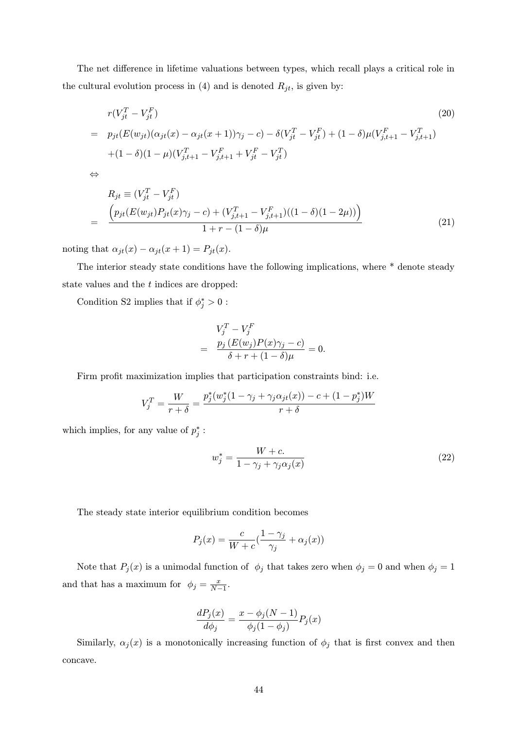The net difference in lifetime valuations between types, which recall plays a critical role in the cultural evolution process in (4) and is denoted  $R_{jt}$ , is given by:

$$
r(V_{jt}^T - V_{jt}^F)
$$
  
=  $p_{jt}(E(w_{jt})(\alpha_{jt}(x) - \alpha_{jt}(x+1))\gamma_j - c) - \delta(V_{jt}^T - V_{jt}^F) + (1 - \delta)\mu(V_{j,t+1}^F - V_{j,t+1}^T)$   
+ $(1 - \delta)(1 - \mu)(V_{j,t+1}^T - V_{j,t+1}^F + V_{jt}^F - V_{jt}^T)$  (20)

⇔

$$
R_{jt} \equiv (V_{jt}^T - V_{jt}^F)
$$
  
= 
$$
\frac{\left(p_{jt}(E(w_{jt})P_{jt}(x)\gamma_j - c) + (V_{j,t+1}^T - V_{j,t+1}^F)((1 - \delta)(1 - 2\mu))\right)}{1 + r - (1 - \delta)\mu}
$$
 (21)

noting that  $\alpha_{jt}(x) - \alpha_{jt}(x+1) = P_{jt}(x)$ .

The interior steady state conditions have the following implications, where \* denote steady state values and the t indices are dropped:

Condition S2 implies that if  $\phi_j^* > 0$ :

$$
V_j^T - V_j^F
$$
  
= 
$$
\frac{p_j (E(w_j)P(x)\gamma_j - c)}{\delta + r + (1 - \delta)\mu} = 0.
$$

Firm profit maximization implies that participation constraints bind: i.e.

$$
V_j^T = \frac{W}{r+\delta} = \frac{p_j^*(w_j^*(1-\gamma_j + \gamma_j \alpha_{jt}(x)) - c + (1-p_j^*)W}{r+\delta}
$$

which implies, for any value of  $p_j^*$ :

$$
w_j^* = \frac{W + c}{1 - \gamma_j + \gamma_j \alpha_j(x)}\tag{22}
$$

The steady state interior equilibrium condition becomes

$$
P_j(x) = \frac{c}{W + c} \left( \frac{1 - \gamma_j}{\gamma_j} + \alpha_j(x) \right)
$$

Note that  $P_j(x)$  is a unimodal function of  $\phi_j$  that takes zero when  $\phi_j = 0$  and when  $\phi_j = 1$ and that has a maximum for  $\phi_j = \frac{x}{N-1}$ .

$$
\frac{dP_j(x)}{d\phi_j} = \frac{x - \phi_j(N-1)}{\phi_j(1 - \phi_j)} P_j(x)
$$

Similarly,  $\alpha_j(x)$  is a monotonically increasing function of  $\phi_j$  that is first convex and then concave.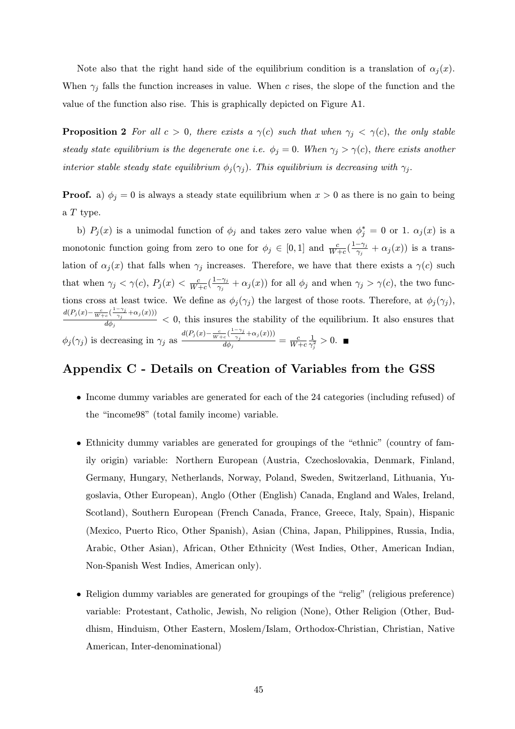Note also that the right hand side of the equilibrium condition is a translation of  $\alpha_j(x)$ . When  $\gamma_j$  falls the function increases in value. When c rises, the slope of the function and the value of the function also rise. This is graphically depicted on Figure A1.

**Proposition 2** For all  $c > 0$ , there exists a  $\gamma(c)$  such that when  $\gamma_j < \gamma(c)$ , the only stable steady state equilibrium is the degenerate one i.e.  $\phi_j = 0$ . When  $\gamma_j > \gamma(c)$ , there exists another interior stable steady state equilibrium  $\phi_j(\gamma_j)$ . This equilibrium is decreasing with  $\gamma_j$ .

**Proof.** a)  $\phi_j = 0$  is always a steady state equilibrium when  $x > 0$  as there is no gain to being a T type.

b)  $P_j(x)$  is a unimodal function of  $\phi_j$  and takes zero value when  $\phi_j^* = 0$  or 1.  $\alpha_j(x)$  is a monotonic function going from zero to one for  $\phi_j \in [0,1]$  and  $\frac{c}{W+c}(\frac{1-\gamma_j}{\gamma_j}+\alpha_j(x))$  is a translation of  $\alpha_j(x)$  that falls when  $\gamma_j$  increases. Therefore, we have that there exists a  $\gamma(c)$  such that when  $\gamma_j < \gamma(c)$ ,  $P_j(x) < \frac{c}{W+c}(\frac{1-\gamma_j}{\gamma_j} + \alpha_j(x))$  for all  $\phi_j$  and when  $\gamma_j > \gamma(c)$ , the two functions cross at least twice. We define as  $\phi_j(\gamma_j)$  the largest of those roots. Therefore, at  $\phi_j(\gamma_j)$ ,  $\frac{d(P_j(x)-\frac{c}{W+c}(\frac{1-\gamma_j}{\gamma_j}+\alpha_j(x)))}{d\phi_j} < 0$ , this insures the stability of the equilibrium. It also ensures that  $\phi_j(\gamma_j)$  is decreasing in  $\gamma_j$  as  $\frac{d(P_j(x) - \frac{c}{W+c}(\frac{1-\gamma_j}{\gamma_j} + \alpha_j(x)))}{d\phi_j} = \frac{c}{W+c} \frac{1}{\gamma_j^2} > 0.$ 

# Appendix C - Details on Creation of Variables from the GSS

- Income dummy variables are generated for each of the 24 categories (including refused) of the "income98" (total family income) variable.
- Ethnicity dummy variables are generated for groupings of the "ethnic" (country of family origin) variable: Northern European (Austria, Czechoslovakia, Denmark, Finland, Germany, Hungary, Netherlands, Norway, Poland, Sweden, Switzerland, Lithuania, Yugoslavia, Other European), Anglo (Other (English) Canada, England and Wales, Ireland, Scotland), Southern European (French Canada, France, Greece, Italy, Spain), Hispanic (Mexico, Puerto Rico, Other Spanish), Asian (China, Japan, Philippines, Russia, India, Arabic, Other Asian), African, Other Ethnicity (West Indies, Other, American Indian, Non-Spanish West Indies, American only).
- Religion dummy variables are generated for groupings of the "relig" (religious preference) variable: Protestant, Catholic, Jewish, No religion (None), Other Religion (Other, Buddhism, Hinduism, Other Eastern, Moslem/Islam, Orthodox-Christian, Christian, Native American, Inter-denominational)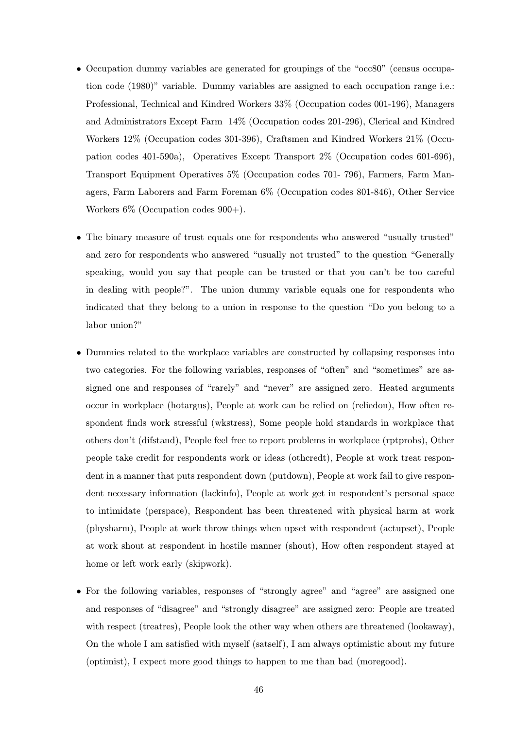- Occupation dummy variables are generated for groupings of the "occ80" (census occupation code (1980)" variable. Dummy variables are assigned to each occupation range i.e.: Professional, Technical and Kindred Workers 33% (Occupation codes 001-196), Managers and Administrators Except Farm 14% (Occupation codes 201-296), Clerical and Kindred Workers 12% (Occupation codes 301-396), Craftsmen and Kindred Workers 21% (Occupation codes 401-590a), Operatives Except Transport 2% (Occupation codes 601-696), Transport Equipment Operatives 5% (Occupation codes 701- 796), Farmers, Farm Managers, Farm Laborers and Farm Foreman 6% (Occupation codes 801-846), Other Service Workers  $6\%$  (Occupation codes  $900+$ ).
- The binary measure of trust equals one for respondents who answered "usually trusted" and zero for respondents who answered "usually not trusted" to the question "Generally speaking, would you say that people can be trusted or that you can't be too careful in dealing with people?". The union dummy variable equals one for respondents who indicated that they belong to a union in response to the question "Do you belong to a labor union?"
- Dummies related to the workplace variables are constructed by collapsing responses into two categories. For the following variables, responses of "often" and "sometimes" are assigned one and responses of "rarely" and "never" are assigned zero. Heated arguments occur in workplace (hotargus), People at work can be relied on (reliedon), How often respondent finds work stressful (wkstress), Some people hold standards in workplace that others don't (difstand), People feel free to report problems in workplace (rptprobs), Other people take credit for respondents work or ideas (othcredt), People at work treat respondent in a manner that puts respondent down (putdown), People at work fail to give respondent necessary information (lackinfo), People at work get in respondent's personal space to intimidate (perspace), Respondent has been threatened with physical harm at work (physharm), People at work throw things when upset with respondent (actupset), People at work shout at respondent in hostile manner (shout), How often respondent stayed at home or left work early (skipwork).
- For the following variables, responses of "strongly agree" and "agree" are assigned one and responses of "disagree" and "strongly disagree" are assigned zero: People are treated with respect (treatres), People look the other way when others are threatened (lookaway), On the whole I am satisfied with myself (satself), I am always optimistic about my future (optimist), I expect more good things to happen to me than bad (moregood).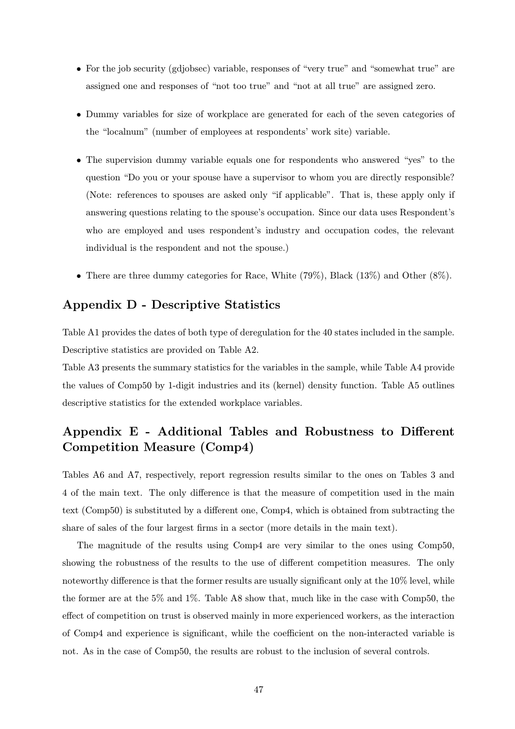- For the job security (gdjobsec) variable, responses of "very true" and "somewhat true" are assigned one and responses of "not too true" and "not at all true" are assigned zero.
- Dummy variables for size of workplace are generated for each of the seven categories of the "localnum" (number of employees at respondents' work site) variable.
- The supervision dummy variable equals one for respondents who answered "yes" to the question "Do you or your spouse have a supervisor to whom you are directly responsible? (Note: references to spouses are asked only "if applicable". That is, these apply only if answering questions relating to the spouse's occupation. Since our data uses Respondent's who are employed and uses respondent's industry and occupation codes, the relevant individual is the respondent and not the spouse.)
- There are three dummy categories for Race, White (79%), Black (13%) and Other (8%).

# Appendix D - Descriptive Statistics

Table A1 provides the dates of both type of deregulation for the 40 states included in the sample. Descriptive statistics are provided on Table A2.

Table A3 presents the summary statistics for the variables in the sample, while Table A4 provide the values of Comp50 by 1-digit industries and its (kernel) density function. Table A5 outlines descriptive statistics for the extended workplace variables.

# Appendix E - Additional Tables and Robustness to Different Competition Measure (Comp4)

Tables A6 and A7, respectively, report regression results similar to the ones on Tables 3 and 4 of the main text. The only difference is that the measure of competition used in the main text (Comp50) is substituted by a different one, Comp4, which is obtained from subtracting the share of sales of the four largest firms in a sector (more details in the main text).

The magnitude of the results using Comp4 are very similar to the ones using Comp50, showing the robustness of the results to the use of different competition measures. The only noteworthy difference is that the former results are usually significant only at the 10% level, while the former are at the 5% and 1%. Table A8 show that, much like in the case with Comp50, the effect of competition on trust is observed mainly in more experienced workers, as the interaction of Comp4 and experience is significant, while the coefficient on the non-interacted variable is not. As in the case of Comp50, the results are robust to the inclusion of several controls.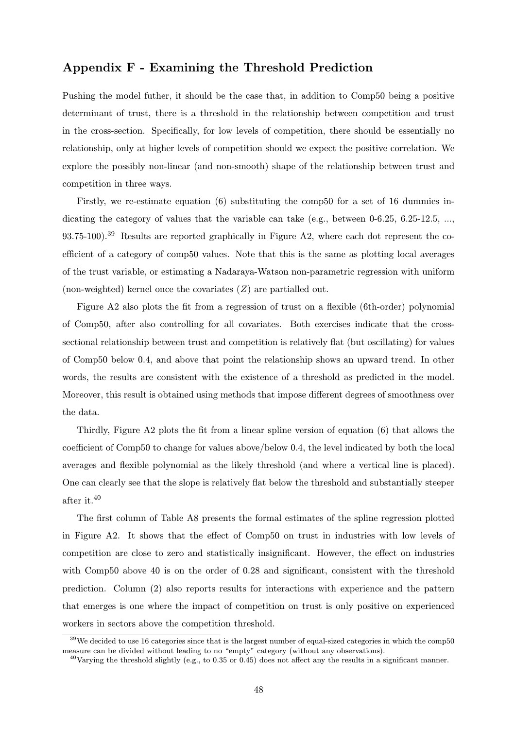# Appendix F - Examining the Threshold Prediction

Pushing the model futher, it should be the case that, in addition to Comp50 being a positive determinant of trust, there is a threshold in the relationship between competition and trust in the cross-section. Specifically, for low levels of competition, there should be essentially no relationship, only at higher levels of competition should we expect the positive correlation. We explore the possibly non-linear (and non-smooth) shape of the relationship between trust and competition in three ways.

Firstly, we re-estimate equation (6) substituting the comp50 for a set of 16 dummies indicating the category of values that the variable can take (e.g., between 0-6.25, 6.25-12.5, ..., 93.75-100).<sup>39</sup> Results are reported graphically in Figure A2, where each dot represent the coefficient of a category of comp50 values. Note that this is the same as plotting local averages of the trust variable, or estimating a Nadaraya-Watson non-parametric regression with uniform (non-weighted) kernel once the covariates (Z) are partialled out.

Figure A2 also plots the fit from a regression of trust on a flexible (6th-order) polynomial of Comp50, after also controlling for all covariates. Both exercises indicate that the crosssectional relationship between trust and competition is relatively flat (but oscillating) for values of Comp50 below 0.4, and above that point the relationship shows an upward trend. In other words, the results are consistent with the existence of a threshold as predicted in the model. Moreover, this result is obtained using methods that impose different degrees of smoothness over the data.

Thirdly, Figure A2 plots the fit from a linear spline version of equation (6) that allows the coefficient of Comp50 to change for values above/below 0.4, the level indicated by both the local averages and flexible polynomial as the likely threshold (and where a vertical line is placed). One can clearly see that the slope is relatively flat below the threshold and substantially steeper after it.<sup>40</sup>

The first column of Table A8 presents the formal estimates of the spline regression plotted in Figure A2. It shows that the effect of Comp50 on trust in industries with low levels of competition are close to zero and statistically insignificant. However, the effect on industries with Comp50 above 40 is on the order of 0.28 and significant, consistent with the threshold prediction. Column (2) also reports results for interactions with experience and the pattern that emerges is one where the impact of competition on trust is only positive on experienced workers in sectors above the competition threshold.

 $39$ We decided to use 16 categories since that is the largest number of equal-sized categories in which the comp50 measure can be divided without leading to no "empty" category (without any observations).

 $^{40}$ Varying the threshold slightly (e.g., to 0.35 or 0.45) does not affect any the results in a significant manner.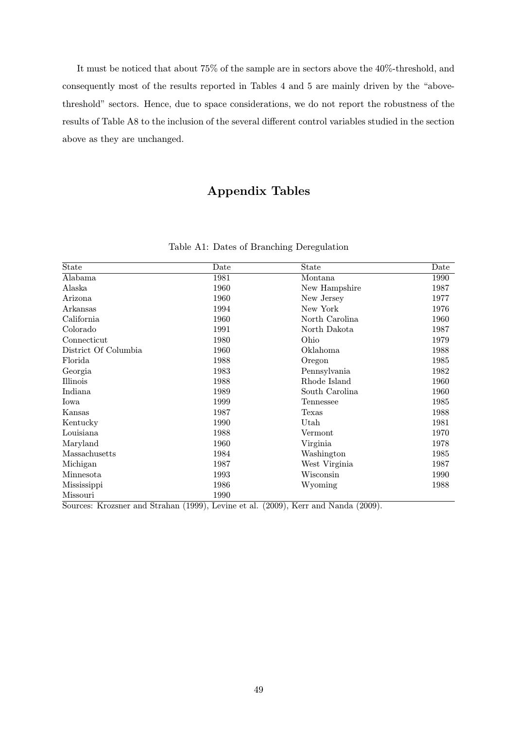It must be noticed that about 75% of the sample are in sectors above the 40%-threshold, and consequently most of the results reported in Tables 4 and 5 are mainly driven by the "abovethreshold" sectors. Hence, due to space considerations, we do not report the robustness of the results of Table A8 to the inclusion of the several different control variables studied in the section above as they are unchanged.

# Appendix Tables

| State                | Date | State          | Date |
|----------------------|------|----------------|------|
| Alabama              | 1981 | Montana        | 1990 |
| Alaska               | 1960 | New Hampshire  | 1987 |
| Arizona              | 1960 | New Jersey     | 1977 |
| Arkansas             | 1994 | New York       | 1976 |
| California           | 1960 | North Carolina | 1960 |
| Colorado             | 1991 | North Dakota   | 1987 |
| Connecticut          | 1980 | Ohio           | 1979 |
| District Of Columbia | 1960 | Oklahoma       | 1988 |
| Florida              | 1988 | Oregon         | 1985 |
| Georgia              | 1983 | Pennsylvania   | 1982 |
| Illinois             | 1988 | Rhode Island   | 1960 |
| Indiana              | 1989 | South Carolina | 1960 |
| Iowa                 | 1999 | Tennessee      | 1985 |
| Kansas               | 1987 | Texas          | 1988 |
| Kentucky             | 1990 | Utah           | 1981 |
| Louisiana            | 1988 | Vermont        | 1970 |
| Maryland             | 1960 | Virginia       | 1978 |
| Massachusetts        | 1984 | Washington     | 1985 |
| Michigan             | 1987 | West Virginia  | 1987 |
| Minnesota            | 1993 | Wisconsin      | 1990 |
| Mississippi          | 1986 | Wyoming        | 1988 |
| Missouri             | 1990 |                |      |

Table A1: Dates of Branching Deregulation

Sources: Krozsner and Strahan (1999), Levine et al. (2009), Kerr and Nanda (2009).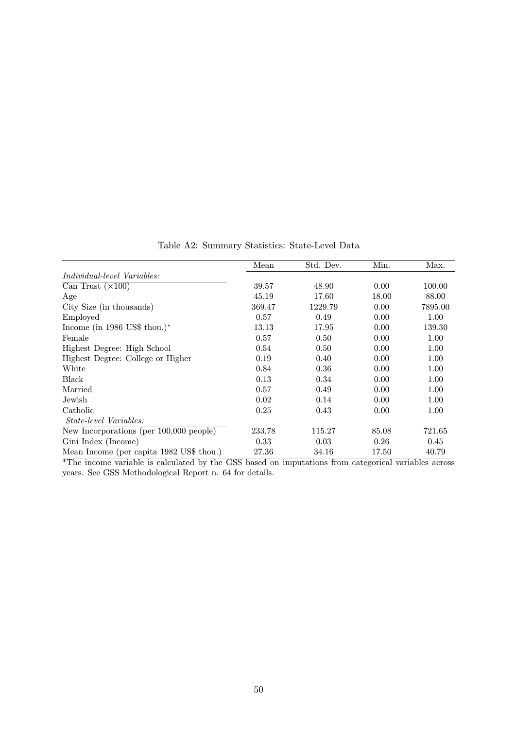|                                          | Mean   | Std. Dev. | Min.  | Max.    |
|------------------------------------------|--------|-----------|-------|---------|
| <i>Individual-level Variables:</i>       |        |           |       |         |
| Can Trust $(\times 100)$                 | 39.57  | 48.90     | 0.00  | 100.00  |
| Age                                      | 45.19  | 17.60     | 18.00 | 88.00   |
| City Size (in thousands)                 | 369.47 | 1229.79   | 0.00  | 7895.00 |
| Employed                                 | 0.57   | 0.49      | 0.00  | 1.00    |
| Income (in 1986 US\$ thou.)*             | 13.13  | 17.95     | 0.00  | 139.30  |
| Female                                   | 0.57   | 0.50      | 0.00  | 1.00    |
| Highest Degree: High School              | 0.54   | 0.50      | 0.00  | 1.00    |
| Highest Degree: College or Higher        | 0.19   | 0.40      | 0.00  | 1.00    |
| White                                    | 0.84   | 0.36      | 0.00  | 1.00    |
| Black                                    | 0.13   | 0.34      | 0.00  | 1.00    |
| Married                                  | 0.57   | 0.49      | 0.00  | 1.00    |
| Jewish                                   | 0.02   | 0.14      | 0.00  | 1.00    |
| Catholic                                 | 0.25   | 0.43      | 0.00  | 1.00    |
| <i>State-level Variables:</i>            |        |           |       |         |
| New Incorporations (per 100,000 people)  | 233.78 | 115.27    | 85.08 | 721.65  |
| Gini Index (Income)                      | 0.33   | 0.03      | 0.26  | 0.45    |
| Mean Income (per capita 1982 US\$ thou.) | 27.36  | 34.16     | 17.50 | 40.79   |

Table A2: Summary Statistics: State-Level Data

\*The income variable is calculated by the GSS based on imputations from categorical variables across years. See GSS Methodological Report n. 64 for details.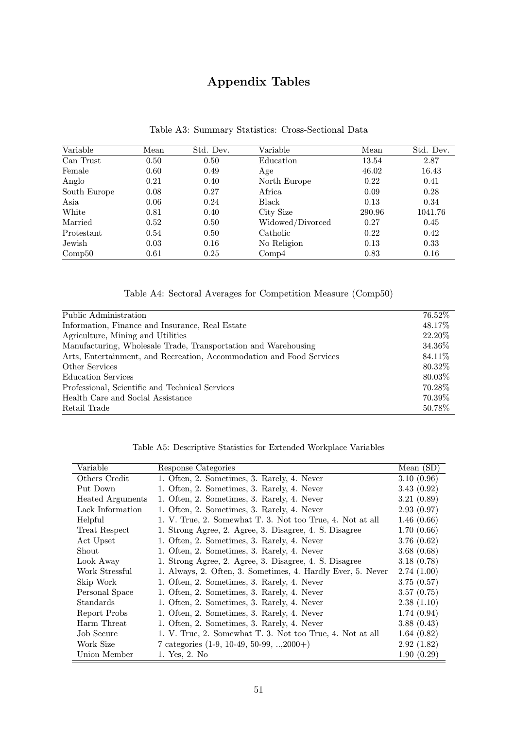# Appendix Tables

| Variable     | Mean | Std. Dev. | Variable         | Mean   | Std. Dev. |
|--------------|------|-----------|------------------|--------|-----------|
| Can Trust    | 0.50 | 0.50      | Education        | 13.54  | 2.87      |
| Female       | 0.60 | 0.49      | Age              | 46.02  | 16.43     |
| Anglo        | 0.21 | 0.40      | North Europe     | 0.22   | 0.41      |
| South Europe | 0.08 | 0.27      | Africa           | 0.09   | 0.28      |
| Asia         | 0.06 | 0.24      | Black            | 0.13   | 0.34      |
| White        | 0.81 | 0.40      | City Size        | 290.96 | 1041.76   |
| Married      | 0.52 | 0.50      | Widowed/Divorced | 0.27   | 0.45      |
| Protestant   | 0.54 | 0.50      | Catholic         | 0.22   | 0.42      |
| Jewish       | 0.03 | 0.16      | No Religion      | 0.13   | 0.33      |
| Comp50       | 0.61 | 0.25      | Comp4            | 0.83   | 0.16      |

## Table A3: Summary Statistics: Cross-Sectional Data

Table A4: Sectoral Averages for Competition Measure (Comp50)

| Public Administration                                                | $76.52\%$ |
|----------------------------------------------------------------------|-----------|
| Information, Finance and Insurance, Real Estate                      | 48.17\%   |
| Agriculture, Mining and Utilities                                    | 22.20\%   |
| Manufacturing, Wholesale Trade, Transportation and Warehousing       | 34.36%    |
| Arts, Entertainment, and Recreation, Accommodation and Food Services | 84.11%    |
| Other Services                                                       | 80.32\%   |
| <b>Education Services</b>                                            | 80.03%    |
| Professional, Scientific and Technical Services                      | 70.28\%   |
| Health Care and Social Assistance                                    | 70.39%    |
| Retail Trade                                                         | 50.78%    |

| Variable                | Response Categories                                         | Mean $(SD)$ |
|-------------------------|-------------------------------------------------------------|-------------|
| Others Credit           | 1. Often, 2. Sometimes, 3. Rarely, 4. Never                 | 3.10(0.96)  |
| Put Down                | 1. Often, 2. Sometimes, 3. Rarely, 4. Never                 | 3.43(0.92)  |
| <b>Heated Arguments</b> | 1. Often, 2. Sometimes, 3. Rarely, 4. Never                 | 3.21(0.89)  |
| Lack Information        | 1. Often, 2. Sometimes, 3. Rarely, 4. Never                 | 2.93(0.97)  |
| Helpful                 | 1. V. True, 2. Somewhat T. 3. Not too True, 4. Not at all   | 1.46(0.66)  |
| Treat Respect           | 1. Strong Agree, 2. Agree, 3. Disagree, 4. S. Disagree      | 1.70(0.66)  |
| Act Upset               | 1. Often, 2. Sometimes, 3. Rarely, 4. Never                 | 3.76(0.62)  |
| Shout                   | 1. Often, 2. Sometimes, 3. Rarely, 4. Never                 | 3.68(0.68)  |
| Look Away               | 1. Strong Agree, 2. Agree, 3. Disagree, 4. S. Disagree      | 3.18(0.78)  |
| Work Stressful          | 1. Always, 2. Often, 3. Sometimes, 4. Hardly Ever, 5. Never | 2.74(1.00)  |
| Skip Work               | 1. Often, 2. Sometimes, 3. Rarely, 4. Never                 | 3.75(0.57)  |
| Personal Space          | 1. Often, 2. Sometimes, 3. Rarely, 4. Never                 | 3.57(0.75)  |
| Standards               | 1. Often, 2. Sometimes, 3. Rarely, 4. Never                 | 2.38(1.10)  |
| Report Probs            | 1. Often, 2. Sometimes, 3. Rarely, 4. Never                 | 1.74(0.94)  |
| Harm Threat             | 1. Often, 2. Sometimes, 3. Rarely, 4. Never                 | 3.88(0.43)  |
| Job Secure              | 1. V. True, 2. Somewhat T. 3. Not too True, 4. Not at all   | 1.64(0.82)  |
| Work Size               | 7 categories $(1-9, 10-49, 50-99, \ldots, 2000+)$           | 2.92(1.82)  |
| Union Member            | 1. Yes, 2. No                                               | 1.90(0.29)  |

Table A5: Descriptive Statistics for Extended Workplace Variables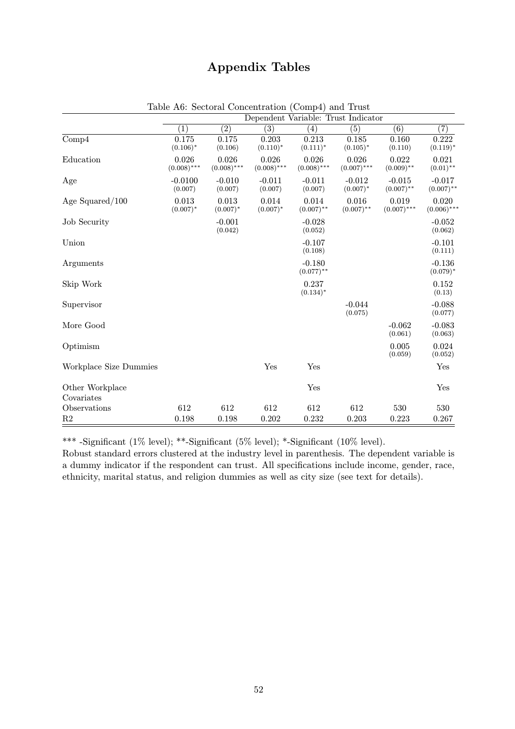# Appendix Tables

|                               |                        |                        |                        | Dependent Variable: Trust Indicator |                         |                          |                          |
|-------------------------------|------------------------|------------------------|------------------------|-------------------------------------|-------------------------|--------------------------|--------------------------|
|                               | $\left( 1\right)$      | $\overline{(2)}$       | $\overline{(3)}$       | $\left( 4\right)$                   | $\overline{(5)}$        | $\overline{(6)}$         | $\overline{(7)}$         |
| Comp4                         | 0.175<br>$(0.106)^*$   | 0.175<br>(0.106)       | 0.203<br>$(0.110)*$    | 0.213<br>$(0.111)^*$                | 0.185<br>$(0.105)^*$    | 0.160<br>(0.110)         | 0.222<br>$(0.119)^*$     |
| Education                     | 0.026<br>$(0.008)$ *** | 0.026<br>$(0.008)$ *** | 0.026<br>$(0.008)$ *** | 0.026<br>$(0.008)$ ***              | 0.026<br>$(0.007)$ ***  | 0.022<br>$(0.009)$ **    | 0.021<br>$(0.01)$ **     |
| Age                           | $-0.0100$<br>(0.007)   | $-0.010$<br>(0.007)    | $-0.011$<br>(0.007)    | $-0.011$<br>(0.007)                 | $-0.012$<br>$(0.007)^*$ | $-0.015$<br>$(0.007)$ ** | $-0.017$<br>$(0.007)$ ** |
| Age Squared $/100$            | 0.013<br>$(0.007)^*$   | 0.013<br>$(0.007)^*$   | 0.014<br>$(0.007)^*$   | 0.014<br>$(0.007)$ **               | 0.016<br>$(0.007)$ **   | 0.019<br>$(0.007)$ ***   | 0.020<br>$(0.006)$ ***   |
| <b>Job Security</b>           |                        | $-0.001$<br>(0.042)    |                        | $-0.028$<br>(0.052)                 |                         |                          | $-0.052$<br>(0.062)      |
| Union                         |                        |                        |                        | $-0.107$<br>(0.108)                 |                         |                          | $-0.101$<br>(0.111)      |
| Arguments                     |                        |                        |                        | $-0.180$<br>$(0.077)$ **            |                         |                          | $-0.136$<br>$(0.079)^*$  |
| Skip Work                     |                        |                        |                        | 0.237<br>$(0.134)^*$                |                         |                          | 0.152<br>(0.13)          |
| Supervisor                    |                        |                        |                        |                                     | $-0.044$<br>(0.075)     |                          | $-0.088$<br>(0.077)      |
| More Good                     |                        |                        |                        |                                     |                         | $-0.062$<br>(0.061)      | $-0.083$<br>(0.063)      |
| Optimism                      |                        |                        |                        |                                     |                         | 0.005<br>(0.059)         | 0.024<br>(0.052)         |
| Workplace Size Dummies        |                        |                        | Yes                    | Yes                                 |                         |                          | Yes                      |
| Other Workplace<br>Covariates |                        |                        |                        | Yes                                 |                         |                          | Yes                      |
| Observations                  | 612                    | 612                    | 612                    | 612                                 | 612                     | 530                      | 530                      |
| R2                            | 0.198                  | 0.198                  | 0.202                  | 0.232                               | 0.203                   | 0.223                    | 0.267                    |

Table A6: Sectoral Concentration (Comp4) and Trust

\*\*\* -Significant  $(1\% \text{ level});$  \*\*-Significant  $(5\% \text{ level});$  \*-Significant  $(10\% \text{ level}).$ 

Robust standard errors clustered at the industry level in parenthesis. The dependent variable is a dummy indicator if the respondent can trust. All specifications include income, gender, race, ethnicity, marital status, and religion dummies as well as city size (see text for details).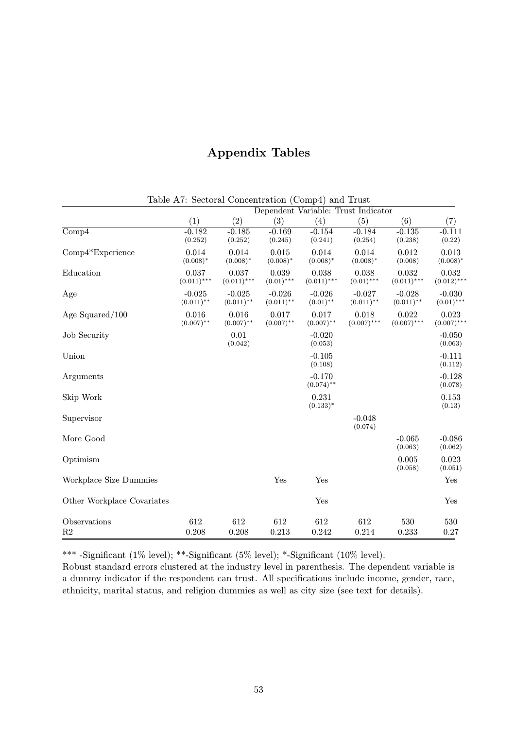# Appendix Tables

|                            | Dependent Variable: Trust Indicator |                          |                          |                          |                          |                          |                          |  |
|----------------------------|-------------------------------------|--------------------------|--------------------------|--------------------------|--------------------------|--------------------------|--------------------------|--|
|                            | $\left( 1\right)$                   | $\overline{(2)}$         | $\overline{(3)}$         | $\left( 4\right)$        | (5)                      | $\overline{(6)}$         | $\overline{(7)}$         |  |
| $\overline{\text{Comp4}}$  | $-0.182$<br>(0.252)                 | $-0.185$<br>(0.252)      | $-0.169$<br>(0.245)      | $-0.154$<br>(0.241)      | $-0.184$<br>(0.254)      | $-0.135$<br>(0.238)      | $-0.111$<br>(0.22)       |  |
| $Comp4*Experience$         | 0.014<br>$(0.008)^*$                | 0.014<br>$(0.008)*$      | 0.015<br>$(0.008)*$      | 0.014<br>$(0.008)*$      | 0.014<br>$(0.008)*$      | 0.012<br>(0.008)         | 0.013<br>$(0.008)*$      |  |
| Education                  | 0.037<br>$(0.011)$ ***              | 0.037<br>$(0.011)$ ***   | 0.039<br>$(0.01)$ ***    | 0.038<br>$(0.011)$ ***   | 0.038<br>$(0.01)$ ***    | 0.032<br>$(0.011)$ ***   | 0.032<br>$(0.012)$ ***   |  |
| Age                        | $-0.025$<br>$(0.011)$ **            | $-0.025$<br>$(0.011)$ ** | $-0.026$<br>$(0.011)$ ** | $-0.026$<br>$(0.01)$ **  | $-0.027$<br>$(0.011)$ ** | $-0.028$<br>$(0.011)$ ** | $-0.030$<br>$(0.01)$ *** |  |
| Age Squared/100            | 0.016<br>$(0.007)$ **               | 0.016<br>$(0.007)$ **    | 0.017<br>$(0.007)$ **    | 0.017<br>$(0.007)$ **    | 0.018<br>$(0.007)$ ***   | 0.022<br>$(0.007)$ ***   | 0.023<br>$(0.007)$ ***   |  |
| <b>Job Security</b>        |                                     | 0.01<br>(0.042)          |                          | $-0.020$<br>(0.053)      |                          |                          | $-0.050$<br>(0.063)      |  |
| Union                      |                                     |                          |                          | $-0.105$<br>(0.108)      |                          |                          | $-0.111$<br>(0.112)      |  |
| Arguments                  |                                     |                          |                          | $-0.170$<br>$(0.074)$ ** |                          |                          | $-0.128$<br>(0.078)      |  |
| Skip Work                  |                                     |                          |                          | 0.231<br>$(0.133)^*$     |                          |                          | 0.153<br>(0.13)          |  |
| Supervisor                 |                                     |                          |                          |                          | $-0.048$<br>(0.074)      |                          |                          |  |
| More Good                  |                                     |                          |                          |                          |                          | $-0.065$<br>(0.063)      | $-0.086$<br>(0.062)      |  |
| Optimism                   |                                     |                          |                          |                          |                          | 0.005<br>(0.058)         | 0.023<br>(0.051)         |  |
| Workplace Size Dummies     |                                     |                          | Yes                      | Yes                      |                          |                          | Yes                      |  |
| Other Workplace Covariates |                                     |                          |                          | Yes                      |                          |                          | Yes                      |  |
| Observations               | 612                                 | 612                      | 612                      | 612                      | 612                      | 530                      | 530                      |  |
| R2                         | 0.208                               | 0.208                    | 0.213                    | 0.242                    | 0.214                    | 0.233                    | 0.27                     |  |

Table A7: Sectoral Concentration (Comp4) and Trust

\*\*\* -Significant (1% level); \*\*-Significant (5% level); \*-Significant (10% level).

Robust standard errors clustered at the industry level in parenthesis. The dependent variable is a dummy indicator if the respondent can trust. All specifications include income, gender, race, ethnicity, marital status, and religion dummies as well as city size (see text for details).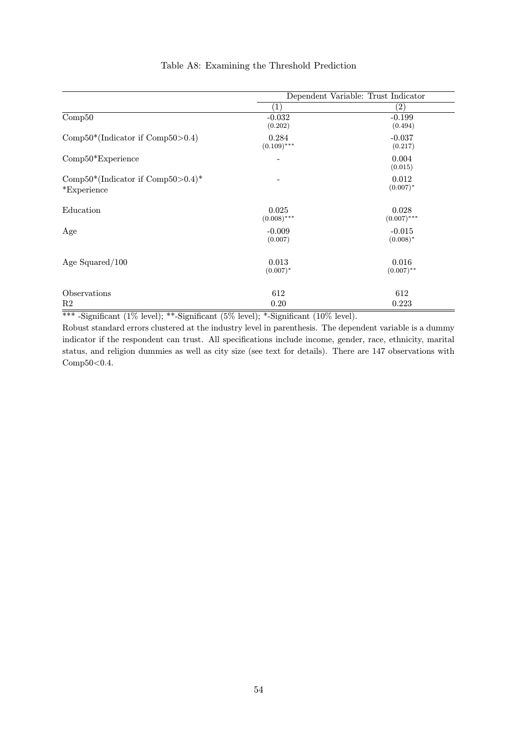|                                                           | Dependent Variable: Trust Indicator |                         |  |
|-----------------------------------------------------------|-------------------------------------|-------------------------|--|
|                                                           | (1)                                 | $\left( 2\right)$       |  |
| $\overline{\text{Comp}50}$                                | $-0.032$<br>(0.202)                 | $-0.199$<br>(0.494)     |  |
| Comp $50^*$ (Indicator if Comp $50 > 0.4$ )               | 0.284<br>$(0.109)$ ***              | $-0.037$<br>(0.217)     |  |
| $Comp50*Experience$                                       |                                     | 0.004<br>(0.015)        |  |
| Comp $50^*$ (Indicator if Comp $50>0.4$ )*<br>*Experience |                                     | 0.012<br>$(0.007)^*$    |  |
| Education                                                 | 0.025<br>$(0.008)$ ***              | 0.028<br>$(0.007)$ ***  |  |
| Age                                                       | $-0.009$<br>(0.007)                 | $-0.015$<br>$(0.008)^*$ |  |
| Age Squared $/100$                                        | 0.013<br>$(0.007)^*$                | 0.016<br>$(0.007)$ **   |  |
| Observations                                              | 612                                 | 612                     |  |
| R2                                                        | 0.20                                | 0.223                   |  |

## Table A8: Examining the Threshold Prediction

\*\*\* -Significant (1% level); \*\*-Significant (5% level); \*-Significant (10% level).

Robust standard errors clustered at the industry level in parenthesis. The dependent variable is a dummy indicator if the respondent can trust. All specifications include income, gender, race, ethnicity, marital status, and religion dummies as well as city size (see text for details). There are 147 observations with Comp50<0.4.